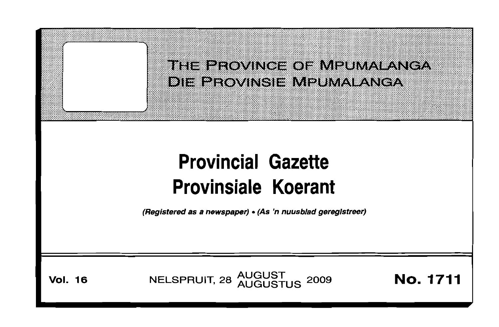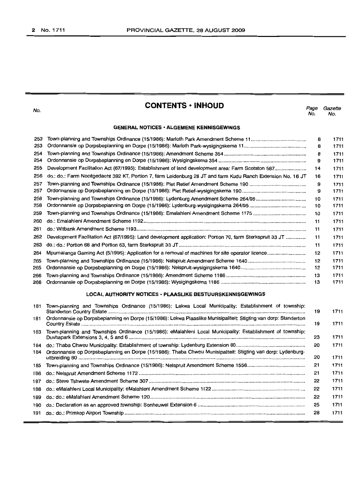No.

## **CONTENTS • INHOUD**

Page Gazette No. No.

## **GENERAL NOTICES· ALGEMENE KENNISGEWINGS**

| 253 |                                                                                                              | 8  | 1711 |
|-----|--------------------------------------------------------------------------------------------------------------|----|------|
| 253 |                                                                                                              | 8  | 1711 |
| 254 |                                                                                                              | 8  | 1711 |
| 254 |                                                                                                              | 9  | 1711 |
| 255 | Development Facilitation Act (67/1995): Establishment of land development area: Farm Scotston 587            | 14 | 1711 |
| 256 | do.: do.: Farm Nooitgedacht 392 KT, Portion 7, farm Leidenburg 28 JT and farm Kudu Ranch Extension No. 16 JT | 16 | 1711 |
| 257 | Town-planning and Townships Ordinance (15/1986): Piet Retief Amendment Scheme 190                            | 9  | 1711 |
| 257 |                                                                                                              | 9  | 1711 |
| 258 | Town-planning and Townships Ordinance (15/1986): Lydenburg Amendment Scheme 264/95                           | 10 | 1711 |
| 258 |                                                                                                              | 10 | 1711 |
| 259 |                                                                                                              | 10 | 1711 |
| 260 |                                                                                                              | 11 | 1711 |
| 261 |                                                                                                              | 11 | 1711 |
| 262 | Development Facilitation Act (67/1995): Land development application: Portion 70, farm Sterkspruit 33 JT     | 11 | 1711 |
| 263 |                                                                                                              | 11 | 1711 |
| 264 | Mpumalanga Gaming Act (5/1995): Application for a removal of machines for site operator licence              | 12 | 1711 |
| 265 |                                                                                                              | 12 | 1711 |
| 265 |                                                                                                              | 12 | 1711 |
| 266 |                                                                                                              | 13 | 1711 |
| 266 |                                                                                                              | 13 | 1711 |
|     |                                                                                                              |    |      |

#### **LOCAL AUTHORITY NOTICES· PLAASLIKE BESTUURSKENNISGEWINGS**

| 181 | Town-planning and Townships Ordinance (15/1986): Lekwa Local Municipality: Establishment of township:            | 19 | 1711 |
|-----|------------------------------------------------------------------------------------------------------------------|----|------|
| 181 | Ordonnansie op Dorpsbeplanning en Dorpe (15/1986): Lekwa Plaaslike Munisipaliteit: Stigting van dorp: Standerton | 19 | 1711 |
| 183 | Town-planning and Townships Ordinance (15/1986): eMalahleni Local Municipality: Establishment of township:       | 23 | 1711 |
| 184 |                                                                                                                  | 20 | 1711 |
| 184 | Ordonnansie op Dorpsbeplanning en Dorpe (15/1986): Thaba Chweu Munisipaliteit: Stigting van dorp: Lydenburg-     | 20 | 1711 |
|     |                                                                                                                  | 21 | 1711 |
|     |                                                                                                                  | 21 | 1711 |
| 187 |                                                                                                                  | 22 | 1711 |
|     |                                                                                                                  | 22 | 1711 |
| 189 |                                                                                                                  | 22 | 1711 |
|     |                                                                                                                  | 25 | 1711 |
|     |                                                                                                                  | 28 | 1711 |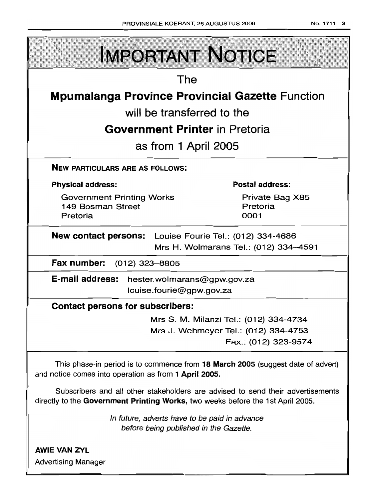| <b>IMPORTANT NOTICE</b>                                                                                                                                            |                                        |  |  |
|--------------------------------------------------------------------------------------------------------------------------------------------------------------------|----------------------------------------|--|--|
| The                                                                                                                                                                |                                        |  |  |
| <b>Mpumalanga Province Provincial Gazette Function</b>                                                                                                             |                                        |  |  |
| will be transferred to the                                                                                                                                         |                                        |  |  |
| <b>Government Printer in Pretoria</b>                                                                                                                              |                                        |  |  |
|                                                                                                                                                                    |                                        |  |  |
| as from 1 April 2005                                                                                                                                               |                                        |  |  |
| <b>NEW PARTICULARS ARE AS FOLLOWS:</b>                                                                                                                             |                                        |  |  |
| <b>Physical address:</b>                                                                                                                                           | <b>Postal address:</b>                 |  |  |
| <b>Government Printing Works</b><br>149 Bosman Street                                                                                                              | Private Bag X85<br>Pretoria            |  |  |
| Pretoria                                                                                                                                                           | 0001                                   |  |  |
| <b>New contact persons:</b> Louise Fourie Tel.: (012) 334-4686                                                                                                     |                                        |  |  |
|                                                                                                                                                                    | Mrs H. Wolmarans Tel.: (012) 334-4591  |  |  |
| Fax number: (012) 323-8805                                                                                                                                         |                                        |  |  |
| E-mail address:<br>hester.wolmarans@gpw.gov.za                                                                                                                     |                                        |  |  |
| louise.fourie@gpw.gov.za                                                                                                                                           |                                        |  |  |
| <b>Contact persons for subscribers:</b>                                                                                                                            |                                        |  |  |
|                                                                                                                                                                    | Mrs S. M. Milanzi Tel.: (012) 334-4734 |  |  |
|                                                                                                                                                                    | Mrs J. Wehmeyer Tel.: (012) 334-4753   |  |  |
|                                                                                                                                                                    | Fax.: (012) 323-9574                   |  |  |
| This phase-in period is to commence from 18 March 2005 (suggest date of advert)<br>and notice comes into operation as from 1 April 2005.                           |                                        |  |  |
| Subscribers and all other stakeholders are advised to send their advertisements<br>directly to the Government Printing Works, two weeks before the 1st April 2005. |                                        |  |  |
| In future, adverts have to be paid in advance<br>before being published in the Gazette.                                                                            |                                        |  |  |
| <b>AWIE VAN ZYL</b>                                                                                                                                                |                                        |  |  |

Advertising Manager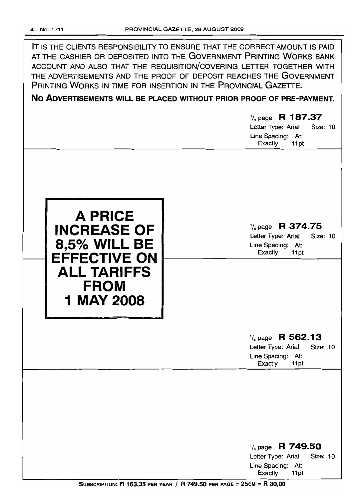IT IS THE CLIENTS RESPONSIBILITY TO ENSURE THAT THE CORRECT AMOUNT IS PAID AT THE CASHIER OR DEPOSITED INTO THE GOVERNMENT PRINTING WORKS BANK ACCOUNT AND ALSO THAT THE REQUISITION/COVERING LETTER TOGETHER WITH THE ADVERTISEMENTS AND THE PROOF OF DEPOSIT REACHES THE GOVERNMENT PRINTING WORKS IN TIME FOR INSERTION IN THE PROVINCIAL GAZETTE.

**No ADVERTISEMENTS WILL BE PLACED WITHOUT PRIOR PROOF OF PRE-PAYMENT.**

# '/4 page **R 187.37** Letter Type: Arial Size: 10 Line Spacing: At: Exactly 11 pt '/4 page **R 374.75** Letter Type: Arial Size: 10 Line Spacing: At: Exactly 11 pt **A PRICE INCREASE OF 12.5% WILL BE**<br> **12.5% WILL BE**<br> **11pt**<br> **11pt**<br> **11pt**<br> **11pt ALL TARIFFS FROM 1 MAY 2008** '/4 page **R 562.13** Letter Type: Arial Size: 10 Line Spacing: At:<br>Exactly 11pt Exactly 1/4 page **R 749.50** Letter Type: Arial Size: 10 Line Spacing: At: Exactly 11 pt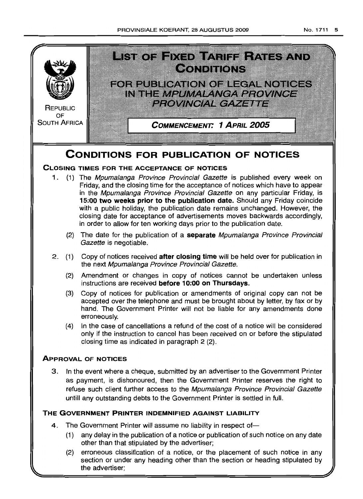



(2) erroneous classification of a notice, or the placement of such notice in any section or under any heading other than the section or heading stipulated by the advertiser;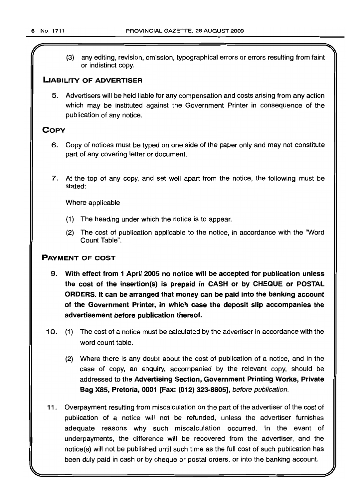(3) any editing, revision, omission, typographical errors or errors resulting from faint or indistinct copy.

## LIABILITY OF ADVERTISER

5. Advertisers will be held liable for any compensation and costs arising from any action which may be instituted against the Government Printer in consequence of the publication of any notice.

## **COPY**

- 6. Copy of notices must be typed on one side of the paper only and may not constitute part of any covering letter or document.
- 7. At the top of any copy, and set well apart from the notice, the following must be stated:

Where applicable

- (1) The heading under which the notice is to appear.
- (2) The cost of publlcation applicable to the notice, in accordance with the 'Word Count Table".

## PAYMENT OF COST

- 9. With effect from 1 April 2005 no notice will be accepted for publication unless the cost of the insertion(s) is prepaid in CASH or by CHEQUE or POSTAL ORDERS. It can be arranged that money can be paid into the banking account of the Government Printer, in which case the deposit slip accompanies the advertisement before publication thereof.
- 10. (1) The cost of a notice must be calculated by the advertiser in accordance with the word count table.
	- (2) Where there is any doubt about the cost of publication of a notice, and in the case of copy, an enquiry, accompanied by the relevant copy, should be addressed to the Advertising Section, Government Printing Works, Private Bag X85, Pretoria, 0001 [Fax: (012) 323-8805], before publication.
- 11 . Overpayment resulting from miscalculation on the part of the advertiser of the cost of publication of a notice will not be refunded, unless the advertiser furnishes adequate reasons why such miscalculation occurred. In the event of underpayments, the difference will be recovered from the advertiser, and the notice(s) will not be published until such time as the full cost of such publication has been duly paid in cash or by cheque or postal orders, or into the banking account.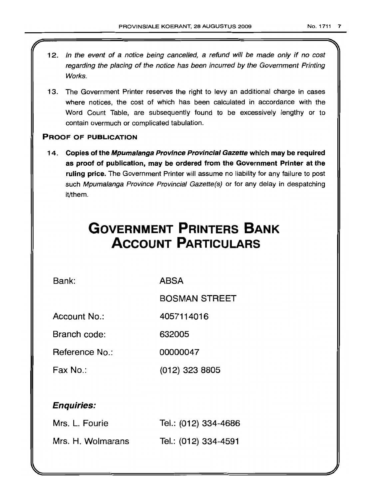- 12. In the event of a notice being cancelled, a refund will be made only if no cost regarding the placing of the notice has been incurred by the Government Printing Works.
- 13. The Government Printer reserves the right to levy an additional charge in cases where notices, the cost of which has been calculated in accordance with the Word Count Table, are subsequently found to be excessively lengthy or to contain overmuch or complicated tabulation.

## PROOF OF PUBLICATION

14. Copies of the Mpumalanga Province Provincial Gazette which may be required as proof of publication, may be ordered from the Government Printer at the ruling price. The Government Printer will assume no liability for any failure to post such Mpumalanga Province Provincial Gazette(s) or for any delay in despatching it/them.

# **GOVERNMENT PRINTERS BANK ACCOUNT PARTICULARS**

Bank: ABSA

BOSMAN STREET

Account No.: 4057114016

Branch code: 632005

Reference No.: 00000047

Fax No.: (012) 323 8805

## Enquiries:

| Mrs. L. Fourie    | Tel.: (012) 334-4686 |
|-------------------|----------------------|
| Mrs. H. Wolmarans | Tel.: (012) 334-4591 |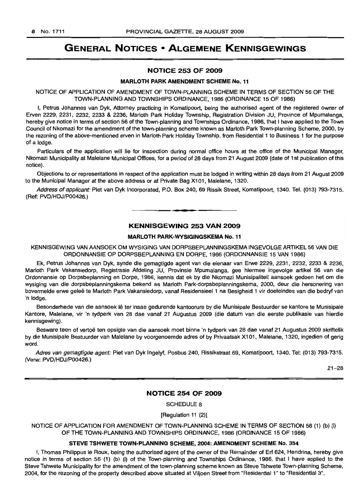# GENERAL NOTICES • ALGEMENE KENNISGEWINGS

## NOTICE 253 OF 2009

#### **MARLOTH PARK AMENDMENT SCHEME No. 11**

NOTICE OF APPLICATION OF AMENDMENT OF TOWN-PLANNING SCHEME IN TERMS OF SECTION 56 OF THE TOWN-PLANNING AND TOWNSHIPS ORDINANCE, 1986 (ORDINANCE 15 OF 1986)

I, Petrus Johannes van Dyk, Attorney practicing in Komatipoort, being the authorised agent of the registered owner of Erven 2229, 2231, 2232, 2233 & 2236, Marloth Park Holiday Township, Registration Division JU, Province of Mpumalanga, hereby give notice in terms of section 56 of the Town-planning and Townships Ordinance, 1986, that I have applied to the Town Council of Nkomazi for the amendment of the town-planning scheme known as Marloth Park Town-planning Scheme, 2000, by the rezoning of the above-mentioned erven in Marloth Park Holiday Township, from Residential 1 to Business 1 for the purpose of a lodge.

Particulars of the application will lie for inspection during normal office hours at the office of the Municipal Manager, Nkomazi Municipality at Malelane Municipal Offices, for a period of 28 days from 21 August 2009 (date of 1st publication of this notice).

Objections to or representations in respect of the application must be lodged in writing within 28 days from 21 August 2009 to the Municipal Manager at the above address or at Private Bag X101, Malelane, 1320.

Address of applicant: Piet van Dyk Incorporated, P.O. Box 240, 69 Rissik Street, Komatipoort, 1340. Tel. (013) 793-7315. (Ref: PVD/HDJ/P00426.) .**-.**

## KENNISGEWING 253 VAN 2009

#### **MARLOTH PARK-WYSIGINGSKEMA No. 11**

KENNISGEWING VAN AANSOEK OM WYSIGING VAN DORPSBEPLANNINGSKEMA INGEVOLGE ARTIKEL 56 VAN DIE ORDONNANSIE OP DORPSBEPLANNING EN DORPE, 1986 (ORDONNANSIE 15 VAN 1986)

Ek, Petrus Johannes van Dyk, synde die gemagtigde agent van die eienaar van Erwe 2229, 2231, 2232, 2233 & 2236, Marloth Park Vakansiedorp, Registrasie Afdeling JU, Provinsie Mpumalanga, gee hiermee ingevolge artikel 56 van die Ordonnansie op Dorpsbeplanning en Dorpe, 1986, kennis dat ek by die Nkomazi Munisipaliteit aansoek gedoen het om die wysiging van die dorpsbeplanningskema bekend as Marloth Park-dorpsbeplanningskema, 2000, deur die hersonering van bovermelde erwe gelee te Marloth Park Vakansiedorp, vanaf Residensieel 1 na Besigheid 1 vir doeleindes van die bedryf van 'n lodge.

Besonderhede van die aansoek lê ter insae gedurende kantoorure by die Munisipale Bestuurder se kantore te Munisipale Kantore, Malelane, vir 'n tydperk van 28 dae vanaf 21 Augustus 2009 (die datum van die eerste publikasie van hierdie kennisgewing) .

Besware teen of vertoe ten opsigte van die aansoek moet binne 'n tydperk van 28 dae vanaf 21 Augustus 2009 skriftelik by die Munisipale Bestuurder van Malelane by voorgenoemde adres of by Privaatsak X101, Malelane, 1320, ingedien of gerig word.

Adres van gemagtigde agent: Piet van Dyk Ingelyf, Posbus 240, Rissikstraat 69, Komatipoort, 1340. Tel: (013) 793-7315. CVerw: PVD/HDJ/P00426.)

21-28

## NOTICE 254 OF 2009

SCHEDULE 8

[Regulation 11 (2)]

NOTICE OF APPLICATION FOR AMENDMENT OF TOWN-PLANNING SCHEME IN TERMS OF SECTION 56 (1) (b) (i) OF THE TOWN-PLANNING AND TOWNSHIPS ORDINANCE, 1986 (ORDINANCE 15 OF 1986)

#### STEVE TSHWETE TOWN-PLANNING SCHEME, 2004: AMENDMENT SCHEME No. 354

I, Thomas Philippus Ie Roux, being the authorised agent of the owner of the Remainder of Erf 624, Hendrina, hereby give notice in terms of section 56 (1) (b) (i) of the Town-planning and Townships Ordinance, 1986, that I have applied to the Steve Tshwete Municipality for the amendment of the town-planning scheme known as Steve Tshwete Town-planning Scheme, 2004, for the rezoning of the property described above situated at Viljoen Street from "Residential 1" to "Residential 3".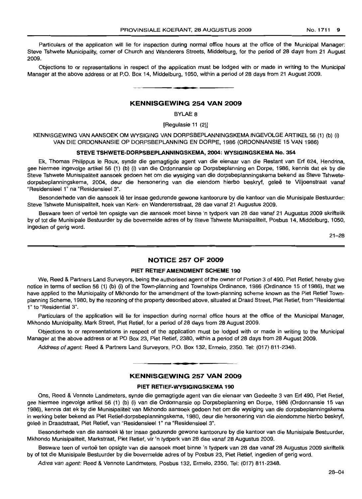Particulars of the application will lie for inspection during normal office hours at the office of the Municipal Manager: Steve Tshwete Municipality, corner of Church and Wanderers Streets, Middelburg, for the period of 28 days from 21 August 2009.

Objections to or representations in respect of the application must be lodged with or made in writing to the Municipal Manager at the above address or at P.O. Box 14, Middelbung, 1050, within a period of 28 days from 21 August 2009.

**• I**

## KENNISGEWING 254 VAN 2009

BYLAE 8

[Regulasie 11 (2)]

KENNISGEWING VAN AANSOEK OM WYSIGING VAN DORPSBEPLANNINGSKEMA INGEVOLGE ARTIKEL 56 (1) (b) (i) VAN DIE ORDONNANSIE OP DORPSBEPLANNING EN DORPE, 1986 (ORDONNANSIE 15 VAN 1986)

#### STEVE TSHWETE-DORPSBEPLANNINGSKEMA, 2004: WYSIGINGSKEMA No. 354

Ek, Thomas Philippus Ie Roux, synde die gemagtigde agent van die eienaar van die Restant van Erf 624, Hendrina, gee hiermee ingevolge artikel 56 (1) (b) (i) van die Ordonnansie op Dorpsbeplanning en Dorpe, 1986, kennis dat ek by die Steve Tshwete Munisipaliteit aansoek gedoen het om die wysiging van die dorpsbeplanningskema bekend as Steve Tshwetedorpsbeplanningskema, 2004, deur die hersonering van die eiendom hierbo beskryf, gelee te Viljoenstraat vanaf "ResidensieeI1" na "ResidensieeI3".

Besonderhede van die aansoek lê ter insae gedurende gewone kantoorure by die kantoor van die Munisipale Bestuurder: Steve Tshwete Munisipaliteit, hoek van Kerk- en Wanderersstraat, 28 dae vanaf 21 Augustus 2009.

Besware teen of vertoe ten opsigte van die aansoek moet binne 'n tydperk van 28 dae vanaf 21 Augustus 2009 skriftelik by of tot die Munisipale Bestuurder by die bovermelde adres of by Steve Tshwete Munisipaliteit, Posbus 14, Middelburg, 1050, ingedien of gerig word.

21-28

## NOTICE 257 OF 2009

#### PIET RETIEF AMENDMENT SCHEME 190

We, Reed & Partners Land Surveyors, being the authorised agent of the owner of Portion 3 of 490, Piet Retief, hereby give notice in terms of section 56 (1) (b) (i) of the Town-planning and Townships Ordinance, 1986 (Ordinance 15 of 1986), that we have applied to the Municipality of Mkhondo for the amendment of the town-planning scheme known as the Piet Retief Townplanning Scheme, 1980, by the rezoning of the property described above, situated at Draad Street, Piet Retief, from "Residential 1" to "Residential 3".

Particulars of the application will lie for inspection during normal office hours at the office of the Municipal Manager, Mkhondo Municipality, Mark Street, Piet Retief, for a period of 28 days from 28 August 2009.

Objections to or representations in respect of the application must be lodged with or made in writing to the Municipal Manager at the above address or at PO Box 23, Piet Retief, 2380, within a period of 28 days from 28 August 2009.

Address of agent: Reed & Partners Land Surveyors, P.O. Box 132, Ermelo, 2350. Tel: (017) 811-2348.

## KENNISGEWING 257 VAN 2009

------...\_--------

#### PIET RETIEF-WYSIGINGSKEMA 190

Ons, Reed & Vennote Landmeters, synde die gemagtigde agent van die eienaar van Gedeelte 3 van Erf 490, Piet Retief, gee hiermee ingevolge artikel 56 (1) (b) (i) van die Ordonnansie op Dorpsbeplanning en Dorpe, 1986 (Ordonnansie 15 van 1986), kennis dat ek by die Munisipaliteit van Mkhondo aansoek gedoen het om die wysiging van die dorpsbeplanningskema in werking beter bekend as Piet Retief-dorpsbeplanningskema, 1980, deur die hersonering van die eiendomme hierbo beskryf, geleë in Draadstraat, Piet Retief, van "Residensieel 1" na "Residensieel 3".

Besonderhede van die aansoek lê ter insae gedurende gewone kantoorure by die kantoor van die Munisipale Bestuurder, Mkhondo Munisipaliteit, Markstraat, Piet Retief, vir 'n tydperk van 28 dae vanaf 28 Augustus 2009.

Besware teen of vertoe ten opsigte van die aansoek moet binne 'n tydperk van 28 dae vanaf 28 Augustus 2009 skriftelik by of tot die Munisipale Bestuurder by die bovermelde adres of by Posbus 23, Piet Retief, ingedien of gerig word.

Adres van agent: Reed & Vennote Landmeters, Posbus 132, Ermelo, 2350. Tel: (017) 811-2348.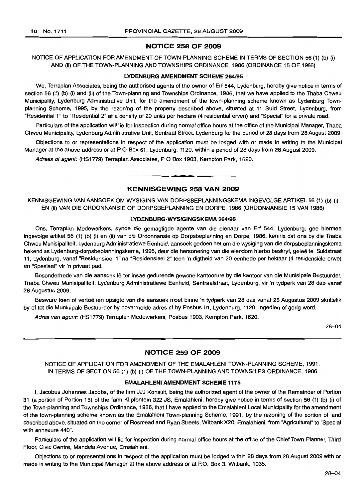## **NOTICE 258 OF 2009**

NOTICE OF APPLICATION FOR AMENDMENT OF TOWN-PLANNING SCHEME IN TERMS OF SECTION 56 (1) (b) (i) AND (ii) OF THE TOWN-PLANNING AND TOWNSHIPS ORDINANCE, 1986 (ORDINANCE 15 OF 1986)

#### **LYDENBURG AMENDMENT SCHEME** 264/95

We, Terraplan Associates, being the authorised agents of the owner of Erf 544, Lydenburg, hereby give notice in terms of section 56 (1) (b) (i) and (ii) of the Town-planning and Townships Ordinance, 1986, that we have applied to the Thaba Chweu Municipality, Lydenburg Administrative Unit, for the amendment of the town-planning scheme known as Lydenburg Townplanning Scheme, 1995, by the rezoning of the property described above, situated at 11 Suid Street, Lydenburg, from "Residential 1" to "Residential 2" at a density of 20 units per hectare (4 residential erven) and "Special" for a private road.

Particulars of the application will lie for inspection during normal office hours at the office of the Municipal Manager, Thaba Chweu Municipality, Lydenburg Administrative Unit, Sentraal Street, Lydenburg for the period of 28 days from 28 August 2009.

Objections to or representations in respect of the application must be lodged with or made in writing to the Municipal Manager at the above address or at PO Box 61, Lydenburg, 1120, within a period of 28 days from 28 August 2009.

Adress of agent: (HS1779) Terraplan Associates, PO Box 1903, Kempton Park, 1620.

## **KENNISGEWING 258 VAN 2009**

**.-**

KENNISGEWING VAN AANSOEK OM WYSIGING VAN DORPSBEPLANNINGSKEMA INGEVOLGE ARTIKEL 56 (1) (b) (i) EN (ii) VAN DIE ORDONNANSIE OP DORPSBEPLANNING EN DORPE, 1986 (ORDONNANSIE 15 VAN 1986)

#### **LYDENBURG·WYSIGINGSKEMA** 264/95

Ons, Terraplan Medewerkers, synde die gemagtigde agente van die eienaar van Erf 544, Lydenburg, gee hiermee ingevolge artikel 56 (1) (b) (i) en (ii) van die Ordonnansie op Dorpsbeplanning en Dorpe, 1986, kennis dat ons by die Thaba Chweu Munisipaliteit, Lydenburg Administratiewe Eenheid, aansoek gedoen het am die wysiging van die dorpsbeplanningskema bekend as Lydenburg-dorpsbeplanningskema, 1995, deur die hersonering van die eiendom hierbo beskryf, gelee te Suidstraat 11, Lydenburg, vanaf "Residensieel 1" na "Residensieel 2" teen 'n digtheid van 20 eenhede per hektaar (4 residenslele erwe) en "Spesiaal" vir 'n privaat pad.

Besonderhede van die aansoek lê ter insae gedurende gewone kantoorure by die kantoor van die Munisipale Bestuurder, Thaba Chweu Munisipaliteit, Lydenburg Administratiewe Eenheid, Sentraalstraat, Lydenburg, vir 'n tydperk van 28 dae vanaf 28 Augustus 2009.

Besware teen of vertoë ten opsigte van die aansoek moet binne 'n tydperk van 28 dae vanaf 28 Augustus 2009 skriftelik by of tot die Munisipale Bestuurder by bovermelde adres of by Posbus 61, Lydenburg, 1120, ingedien of gerig word.

Adres van agent: (HS1779) Terraplan Medewerkers, Posbus 1903, Kempton Park, 1620.

28-04

## **NOTICE 259 OF 2009**

NOTICE OF APPLICATION FOR AMENDMENT OF THE EMALAHLENI TOWN-PLANNING SCHEME, 1991, IN TERMS OF SECTION 56 (1) (b) (i) OF THE TOWN-PLANNING AND TOWNSHIPS ORDINANCE, 1986

#### **EMALAHLENI AMENDMENT SCHEME** 1175

I, Jacobus Johannes Jacobs, of the firm JJJ Konsult, being the authorized agent of the owner of the Remainder of Portion 31 (a portion of Portion 15) of the farm Klipfontein 322 JS, Emalahleni, hereby give notice in terms of section 56 (1) (b) (i) of the Town-planning and Townships Ordinance, 1986, that I have applied to the Emalahleni Local Municipality for the amendment of the town-planning scheme known as the Emalahleni Town-planning Scheme, 1991, by the rezoning of the portion of land described above, situated on the corner of Rosmead and Ryan Streets, Witbank X20, Emalahleni, from "Agricultural" to "Special with annexure 440".

Particulars of the application will lie for inspection during normal office hours at the office of the Chief Town Planner, Third Floor, Civic Centre, Mandela Avenue, Emalahleni.

Objections to or representations in respect of the application must be lodged within 28 days from 28 August 2009 with or made in writing to the Municipal Manager at the above address or at P.O. Box 3, Witbank, 1035.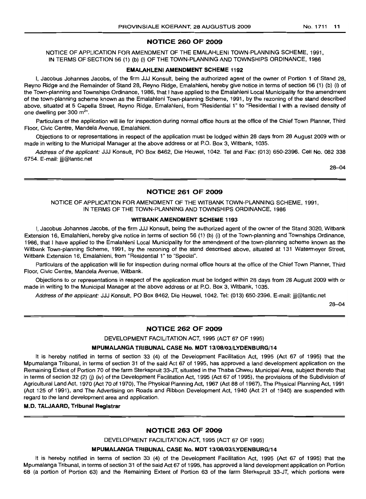## NOTICE 260 OF 2009

NOTICE OF APPLICATION FOR AMENDMENT OF THE EMALAHLENI TOWN-PLANNING SCHEME, 1991, IN TERMS OF SECTION 56 (1) (b) (i) OF THE TOWN-PLANNING AND TOWNSHIPS ORDINANCE, 1986

#### EMALAHLENI AMENDMENT SCHEME 1192

I, Jacobus Johannes Jacobs, of the firm JJJ Konsult, being the authorized agent of the owner of Portion 1 of Stand 28, Reyno Ridge and the Remainder of Stand 28, Reyno Ridge, Emalahleni, hereby give notice in terms of section 56 (1) (b) (i) of the Town-planning and Townships Ordinance, 1986, that I have applied to the Emalahleni Local Municipality for the amendment of the town-planning scheme known as the Emalahleni Town-planning Scheme, 1991, by the rezoning of the stand described above, situated at 5 Capella Street, Reyno Ridge, Emalahleni, from "Residential 1" to "Residential I with a revised density of one dwelling per  $300 \text{ m}^2$ ".

Particulars of the application will lie for inspection during normal office hours at the office of the Chief Town Planner, Third Floor, Civic Centre, Mandela Avenue, Emalahleni.

Objections to or representations in respect of the application must be lodged within 28 days from 28 August 2009 with or made in writing to the Municipal Manager at the above address or at P.O. Box 3, Witbank, 1035.

Address of the applicant: JJJ Konsult, PO Box 8462, Die Heuwel, 1042. Tel and Fax: (013) 650-2396. Cell No. 082 338 6754. E-mail: jjj@lantic.net

28-04

## NOTICE 261 OF 2009

## NOTICE OF APPLICATION FOR AMENDMENT OF THE WITBANK TOWN-PLANNING SCHEME, 1991, IN TERMS OF THE TOWN-PLANNING AND TOWNSHIPS ORDINANCE, 1986

#### WITBANK AMENDMENT SCHEME 1193

I, Jacobus Johannes Jacobs, of the firm JJ.I Konsutt, being the authorized agent of the owner of the Stand 3020, Witbank Extension 16, Emalahleni, hereby give notice in terms of section 56 (1) (b) (i) of the Town-planning and Townships Ordinance, 1986, that I have applied to the Emalahleni Local Municipality for the amendment of the town-planning scheme known as the Witbank Town-planning Scheme, 1991, by the rezoning of the stand described above, situated at 131 Watermeyer Street, Witbank Extension 16, Emalahleni, from "Residential 1" to "Special".

Particulars of the application will lie for inspection durinq normal office hours at the office of the Chief Town Planner, Third Floor, Civic Centre, Mandela Avenue, Witbank.

Objections to or representations in respect of the application must be lodged within 28 days from 28 August 2009 with or made in writing to the Municipal Manager at the above address or at P.O. Box 3, Witbank, 1035.

Address of the applicant: JJJ Konsult, PO Box 8462, Die Heuwel, 1042. Tel: (013) 650-2396. E-mail: jjj@lantic.net

28-04

## NOTICE 262 OF 2009

DEVELOPMENT FACILITATION ACT, 1995 (ACT 67 OF 1995)

#### MPUMALANGA TRIBUNAL CASE No. MDT 13/0B/03/LYDENBURG/14

It is hereby notified in terms of section 33 (4) of the Development Facilitation Act, 1995 (Act 67 of 1995) that the Mpumalanga Tribunal, in terms of section 31 of the said Act 67 of 1995, has approved a land development application on the Remaining Extent of Portion 70 of the farm Sterkspruit 33-JT, situated in the Thaba Chweu Municipal Area, subject thereto that in terms of section 32 (2) (j) (iv) of the Development Facilitation Act, 1995 (Act 67 of 1995), the provisions of the Subdivision of Agricultural Land Act, 1970 (Act 70 of 1970), The Physical Planning Act, 1967 (Act 88 of 1967), The Physical Planning Act, 1991 (Act 125 of 1991), and The Advertising on Roads and Ribbon Development Act, 1940 (Act 21 of 1940) are suspended with regard to the land development area and application.

## M.D. TALJAARD, Tribunal Registrar

#### NOTICE 263 OF 2009

DEVELOPMENT FACILITATION ACT, 1995 (ACT 67 OF 1995)

## MPUMALANGA TRIBUNAL CASE No. MDT 13/08/03/LYDENBURG/14

It is hereby notified in terms of section 33 (4) of the Development Facilitation Act, 1995 (Act 67 of 1995) that the Mpumalanga Tribunal, in terms of section 31 of the said Act 67 of 1995, has approved a land development application on Portion 68 (a portion of Portion 63) and the Remaining Extent of Portion 63 of the farm Sterkspruit 33-JT, which portions were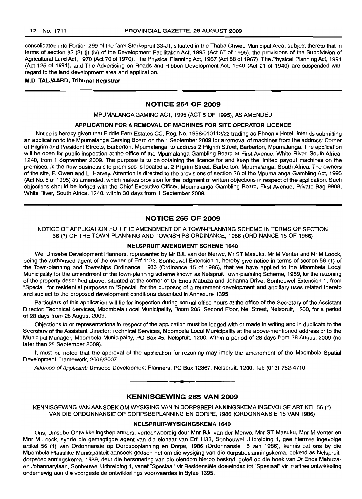consolidated into Portion 299 of the farm Sterkspruit 33-JT, situated in the Thaba Chweu Municipal Area, subject thereto that in terms of section 32 (2) (j) (iv) of the Development Facilitation Act, 1995 (Act 67 of 1995), the provisions of the Subdivision of Agricultural Land Act, 1970 (Act 70 of 1970), The Physical Planning Act, 1967 (Act 88 of 1967), The Physical Planning Act, 1991 (Act 125 of 1991), and The Advertising on Roads and Ribbon Development Act, 1940 (Act 21 of 1940) are suspended with regard to the land development area and application.

#### **M.D. TAWAARD, Tribunal Registrar**

## **NOTICE 264 OF 2009**

#### MPUMALANGA GAMING ACT, 1995 (ACT 5 OF 1995), AS AMENDED

#### **APPLICATION FOR A REMOVAL OF MACHINES FOR SITE OPERATOR LICENCE**

Notice is hereby given that Fiddle Fern Estates CC, Reg. No. 1998/010112/23 trading as Phoenix Hotel, intends submitting an application to the Mpumalanga Gaming Board on the 1 September 2009 for a removal of machines from the address: Corner of Pilgrim and President Streets, Barberton, Mpumalanga, to address 2 Pilgrim Street, Barberton, Mpumalanga. The application will be open for public inspection at the office of the Mpumalanga Gambling Board at First Avenue, White River, South Africa, 1240, from 1 September 2009. The purpose is to be obtaining the licence for and keep the limited payout machines on the premises, in the new business site premises is located at 2 Pilgrim Street, Barberton, Mpumalanga, South Africa. The owners of the site, P. Owen and L. Harvey. Attention is directed to the provisions of section 26 of the Mpumalanga Gambling Act, 1995 (Act No.5 of 1995) as amended, which makes provision for the lodgment of written objections in respect of the application. Such objections should be lodged with the Chief Executive Officer, Mpumalanga Gambling Board, First Avenue, Private Bag 9908, White River, South Africa, 1240, within 30 days from 1 September 2009.

## **NOTICE 265 OF 2009**

NOTICE OF APPLICATION FOR THE AMENDMENT OF A TOWN-PLANNING SCHEME IN TERMS OF SECTION 56 (1) OF THE TOWN-PLANNING AND TOWNSHIPS ORDINANCE, 1986 (ORDINANCE 15 OF 1986)

## **NELSPRUIT AMENDMENT SCHEME 1640**

We, Umsebe Development Planners, represented by Mr BJL van der Merwe, Mr ST Masuku, Mr M Venter and Mr M Loock, being the authorised agent of the owner of Erf 1133, Sonheuwel Extension 1, hereby give notice in terms of section 56 (1) of the Town-planning and Townships Ordinance, 1986 (Ordinance 15 of 1986), that we have applied to the Mbombela Local Municipality for the amendment of the town-planning scheme known as Nelspruit Town-planning Scheme, 1989, for the rezoning of the property described above, situated at the corner of Dr Enos Mabuza and Johanna Drive, Sonheuwel Extension 1, from "Special" for residential purposes to "Special" for the purposes of a retirement development and ancillary uses related thereto and subject to the proposed development conditions described in Annexure 1395.

Particulars of this application will lie for inspection during normal office hours at the office of the Secretary of the Assistant Director: Technical Services, Mbombela Local Municipality, Room 205, Second Floor, Nel Street, Nelspruit, 1200, for a period of 28 days from 28 August 2009.

Objections to or representations in respect of the application must be lodged with or made in writing and in duplicate to the Secretary of the Assistant Director: Technical Services, Mbombela Local Municipality at the above-mentioned address or to the Municipal Manager, Mbombela Municipality, PO Box 45, Nelspruit, 1200, within a period of 28 days from 28 August 2009 (no later than 25 September 2009).

It must be noted that the approval of the application for rezoning may imply the amendment of the Mbombela Spatial Development Framework, 2006/2007.

Address of applicant: Umsebe Development Planners, PO Box 12367, Nelspruit, 1200. Tel: (013) 752-4710.

## **KENNISGEWING 265 VAN 2009**

**• •**

KENNISGEWING VAN MNSOEK OM WYSIGING VAN 'N DORPSBEPLANNINGSKEMA INGEVOLGE ARTIKEL 56 (1) VAN DIE ORDONNANSIE OP DORPSBEPLANNING EN DORPE, 1986 (ORDONNANSIE 15 VAN 1986)

## **NELSPRUIT-WYSIGINGSKEMA 1640**

Ons, Umsebe Ontwikkelingsbeplanners, verteenwoordig deur Mnr BJL van der Merwe, Mnr ST Masuku, Mnr M Venter en Mnr M Loock, synde die gemagtigde agent van die eienaar van Erf 1133, Sonheuwel Uitbreiding 1, gee hiermee ingevolge artikel 56 (1) van Ordonnansie op Dorpsbeplanning en Dorpe, 1986 (Ordonnansie 15 van 1986), kennis dat ons by die Mbombela Plaaslike Munisipaliteit aansoek gedoen het om die wysiging van die dorpsbeplanningskema, bekend as Nelspruitdorpsbeplanningskema, 1989, deur die hersonering van die eiendom hierbo beskryf, gelee op die hoek van Dr Enos Mabuzaen Johannarylaan, Sonheuwel Uitbreiding 1, vanaf "Spesiaal" vir Hesidensiele doeleindes tot "Spesiaal" vir 'n aftree ontwikkeling onderhewig aan die voorgestelde ontwikkelings voorwaardes in Bylae 1395.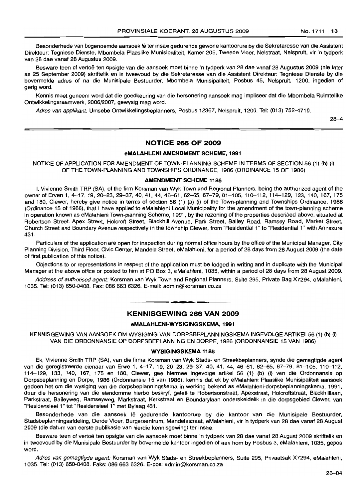Besonderhede van bogenoemde aansoek Iê ter insae gedurende gewone kantoorure by die Sekretaresse van die Assistent Direkteur: Tegniese Dienste, Mbombela Plaaslike Munisipaliteit, Kamer 205, Tweede Vloer, Nelstraat, Nelspruit, vir 'n tydperk van 28 dae vanaf 28 Augustus 2009.

Besware teen of vertoë ten opsigte van die aansoek moet binne 'n tydperk van 28 dae vanaf 28 Augustus 2009 (nie later as 25 September 2009) skriftelik en in tweevoud by die Sekretaresse van die Assistent Direkteur: Tegniese Dienste by die bovermelde adres of na die Munisipale Bestuurder, Mbombela Munisipaliteit, Posbus 45, Nelspruit, 1200, ingedien of gerig word.

Kennis moet geneem word dat die goedkeuring van die hersonering aansoek mag impliseer dat die Mbombela Ruimtelike Ontwikkelingsraamwerk, 2006/2007, gewysig mag word.

Adres van applikant: Umsebe Ontwikkelingsbeplanners, Posbus 12367, Nelspruit, 1200. Tel: (013) 752-4710.

28-4

## **NOTICE 266 OF 2009**

#### **eMALAHLENI AMENDMENT SCHEME, 1991**

NOTICE OF APPLICATION FOR AMENDMENT OF TOWN-PLANNING SCHEME IN TERMS OF SECTION 56 (1) (b) (i) OF THE TOWN-PLANNING AND TOWNSHIPS ORDINANCE, 1986 (ORDINANCE 15 OF 1986)

#### **AMENDMENT SCHEME 1186**

I, Vivienne Smith TRP (SA), of the firm Korsman van Wyk Town and Regional Planners, being the authorized agent of the owner of Erven 1, 4-17, 19, 20-23, 29-37, 40, 41, 44, 46-61, 62-65, 67-79, 81-105, 110-112, 114-129, 133, 140, 167, 175 and 180, Clewer, hereby give notice in terms of section 56 (1) (b) (i) of the Town-planning and Townships Ordinance, 1986 (Ordinance 15 of 1986), that I have applied to eMalahleni Local Municipality for the amendment of the town-planning scheme in operation known as eMalahleni Town-planning Scheme, 1991, by the rezoning of the properties described above, situated at Robertson Street, Apex Street, Holcroft Street, Blackhill Avenue, Park Street, Bailey Road, Ramsey Road, Market Street, Church Street and Boundary Avenue respectively in the township Clewer, from "Residential 1" to "Residential 1" with Annexure 431.

Particulars of the application are open for inspection during normal office hours by the office of the Municipal Manager, City Planning Division, Third Floor, Civic Center, Mandela Street, eMalahleni, for a period of 28 days from 28 August 2009 (the date of first publication of this notice).

Objections to or representations in respect of the application must be lodged in writing and in duplicate with the Municipal Manager at the above office or posted to him at PO Box 3, eMalahleni, 1035, within a period of 28 days from 28 August 2009.

Address of authorised agent: Korsman van Wyk Town and Regional Planners, Suite 295, Private Bag X7294, eMalahleni, 1035. Tel: (013) 650-0408. Fax: 086 663 6326. E-mail: admin@korsman.co.za

## **• KENNISGEWING 266 VAN 2009**

## **eMALAHLENI-WYSIGINGSKEMA, 1991**

KENNISGEWING VAN AANSOEK OM WYSIGING VAN DORPSBEPLANNINGSKEMA INGEVOLGEARTIKEL56 (1) (b) (i) VAN DIE ORDONNANSIE OP DORPSBEPLANNING EN DORPE, 1986 (ORDONNANSIE 15 VAN 1986)

#### **WYSIGINGSKEMA 1186**

Ek, Vivienne Smith TRP (SA), van die firma Korsman van Wyk Stads- en Streekbeplanners, synde die gemagtigde agent van die geregistreerde eienaar van Erwe 1, 4-17, 19, 20-23, 29-37, 40, 41, 44, 46-61, 62-65, 67-79, 81-105, 110-112, 114-129, 133, 140, 167, 175 en 180, Clewer, gee hiermee ingevolge artikel 56 (1) (b) (i) van die Ordonnansie op Dorpsbeplanning en Dorpe, 1986 (Ordonnansie 15 van 1986), kennis dat ek by eMalahleni Plaaslike Munisipaliteit aansoek gedoen het om die wysiging van die dorpsbeplanningskema in werking bekend as eMalahleni-dorpsbeplanningskema, 1991, deur die hersonering van die eiendomme hierbo beskryf, gelee te Robertsonstraat, Apexstraat, Holcroftstraat, Blackhililaan, Parkstraat, Baileyweg, Ramseyweg, Markstraat, Kerkstraat en Boundarylaan onderskeidelik in die dorpsgebied Clewer, van "Residensieel 1" tot "Residensieel 1" met Bylaag 431.

Besonderhede van die aansoek lê gedurende kantoorure by die kantoor van die Munisipale Bestuurder, Stadsbeplanningsafdeling, Derde Vloer, Burgersentrum, Mandelastraat, eMalahleni, vir 'n tydperk van 28 dae vanaf 28 August 2009 (die datum van eerste publikasie van hierdie kennisgewing) ter insae.

Besware teen of vertoe ten opsigte van die aansoek moet binne 'n tydperk van 28 dae vanaf 28 August 2009 skriftelik en in tweevoud by die Munisipale Bestuurder by bovermelde kantoor ingedien of aan hom by Posbus 3, eMalahleni, 1035, gepos word.

Adres van gemagtigde agent: Korsman van Wyk Stads- en Streekbeplanners, Suite 295, Privaatsak X7294, eMalahleni, 1035. Tel: (013) 650-0408. Faks: 086 663 6326. E-pos: admin@korsman.co.za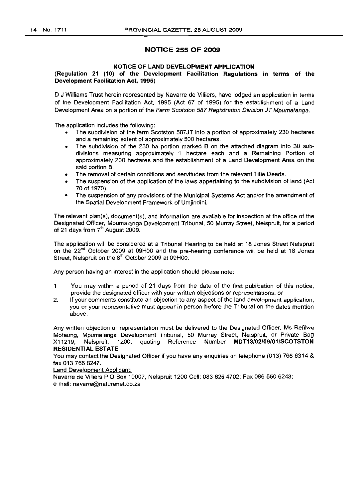## NOTICE 255 OF 2009

#### NOTICE OF LAND DEVELOPMENT APPLICATION

## (Regulation 21 (10) of the Development Facilitation Regulations in terms of the Development Facilitation Act, 1995)

D J Williams Trust herein represented by Navarre de Villiers, have lodged an application in terms of the Development Facilitation Act, 1995 (Act 67 of 1995) for the establishment of a Land Development Area on a portion of the Farm Scotston 587 Registration Division JT Mpumalanga.

The application includes the following:

- The subdivision of the farm Scotston 587JT into a portion of approximately 230 hectares and a remaining extent of approximately 500 hectares.
- The subdivision of the 230 ha portion marked B on the attached diagram into 30 subdivisions measuring approximately 1 hectare each and a Remaining Portion of approximately 200 hectares and the establishment of a Land Development Area on the said portion B.
- The removal of certain conditions and servitudes from the relevant Title Deeds.
- The suspension of the application of the laws appertaining to the subdivision of land (Act 70 of 1970).
- The suspension of any provisions of the Municipal Systems Act and/or the amendment of the Spatial Development Framework of Umjindini.

The relevant plan(s), document(s), and information are available for inspection at the office of the Designated Officer, Mpumalanga Development Tribunal, 50 Murray Street, Nelspruit, for a period of 21 days from  $7<sup>th</sup>$  August 2009.

The application will be considered at a Tribunal Hearing to be held at 18 Jones Street Nelspruit on the 22<sup>nd</sup> October 2009 at 09H00 and the pre-hearing conference will be held at 18 Jones Street, Nelspruit on the 8<sup>th</sup> October 2009 at 09H00.

Any person having an interest in the application should please note:

- 1 You may within a period of 21 days from the date of the first publication of this notice, provide the designated officer with your written objections or representations, or
- 2. If your comments constitute an objection to any aspect of the land development application, you or your representative must appear in person before the Tribunal on the dates mention above.

Any written objection or representation must be delivered to the Designated Officer, Ms Refilwe Motaung, Mpumalanga Development Tribunal, 50 Murray Street, Nelspruit, or Private Bag X11219, Nelspruit, 1200, quoting Reference Number MDT13/02/09/01/SCOTSTON RESIDENTIAL ESTATE

You may contact the Designated Officer if you have any enquiries on telephone (013) 7666314 & fax 013 766 8247.

Land Development Applicant:

Navarre de Villiers P O Box 10007, Nelspruit 1200 Cell: 083 626 4702; Fax 086 550 6243; email: navarre@naturenet.co.za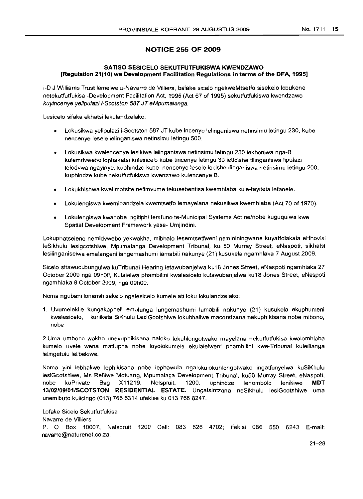## **NOTICE 255 OF 2009**

## **SATISO SESICELO SEKUTFUTFUKISWA KWENDZAWO [Regulation 21(10) we Development Facilitation Regulations in terms of the DFA, 1995]**

i-D J Williams Trust lemelwe u-Navarre de Villiers, bafake sicelo ngekweMtsetfo sisekelo lobukene netekutfutfukisa -Development Facilitation Act, 1995 (Act 67 of 1995) sekutfutfukiswa kwendzawo kuyincenye yelipulazi i-Scotston 587 JT eMpumalanga.

Lesicelo sifaka ekhatsi lekulandzelako:

- Lokusikwa yelipulazi i-Scotston 587 JT kube incenye lelinganiswa netinsimu letingu 230, kube nencenye lesele lelinganiswa netinsimu letingu 500.
- Lokusikwa kwalencenye lesikiwe lelinganiswa netinsimu letingu 230 lekhonjwa nga-B kulemdvwebo lophakatsi kulesicelo kube tincenye letingu 30 leticishe tilinganiswa lipulazi lelodywa ngayinye, kuphindze kube nencenye lesele lecishe ilinganiswa netinsimu letingu 200, kuphindze kube nekutfutfukiswa kwenzawo kulencenye B.
- Lokukhishwa kwetimotsite netimvume tekusebentisa kwemhlaba kule-tayitela lefanele.
- Lokulengiswa kwemibandzela kwemtsetfo lemayelana nekusikwa kwemhlaba (Act 70 of 1970).
- Lokulengiswa kwanobe ngitiphi temfuno te-Municipal Systems Act ne/nobe kuguqulwa kwe Spatial Development Framework yase- Umjindini.

Lokuphatselene nemidvwebo yekwakha, mibhalo lesemtsetfweni nemininingwane kuyatfolakala eHhovisi leSikhulu lesigcotshiwe, Mpumalanga Development Tribunal, ku 50 Murray Street, eNaspoti, sikhatsi lesilinganiselwa emalangeni langemashumi larnabili nakunye (21) kusukela ngamhlaka 7 August 2009.

Sicelo sitawucubungulwa kuTribunal Hearing letawubanjelwa ku18 Jones Street, eNaspoti ngamhlaka 27 October 2009 nga 09hOO, Kulalelwa phambilini kwalesicelo kutawubanjelwa ku18 Jones Street, eNaspoti ngamhlaka 8 October 2009, nga 09hOO.

Noma ngubani lonenshisekelo ngalesicelo kumele ati loku lokulandzelako:

1. Uvumelekile kungakapheli emalanga langemashumi lamabili nakunye (21) kusukela ekuphumeni kwalesicelo, kuniketa SiKhulu LesiGcotshiwe lokubhaliwe macondzana nekuphikisana nobe mibono, nobe

2.Uma umbono wakho unekuphikisana naloko lokuhlongotwako mayelana nekutfutfukisa kwalomhlaba kumelo uvele wena matfupha nobe loyolokumele ekulalelweni phambilini kwe-Tribunal kulelilanga lelingetulu lelibekiwe.

Noma yini lebhaliwe lephikisana nobe lephawula ngalokulokuhlongotwako ingattunyelwa kuSiKhulu lesiGcotshiwe, Ms Refilwe Motuang, Mpumalaga Development Tribunal, ku50 Murray Street, eNaspoti, nobe kuPrivate Bag X11219, Nelspruit, 1200, uphindze lenombolo lenikiwe **MDT 13/02/09/01/SCOTSTON RESIDENTIAL ESTATE.** Ungatsintzana neSikhulu lesiGcotshiwe uma unemibuto kulicingo (013) 766 6314 ufekise ku 013 766 8247.

Lofake Sicelo Sekutfutfukisa Navarre de Villiers P. 0 Box 10007, Nelspruit 1200 Cell: 083 626 4702; ifekisi 086 550 6243 E-mail: navarre@naturenet.co.za.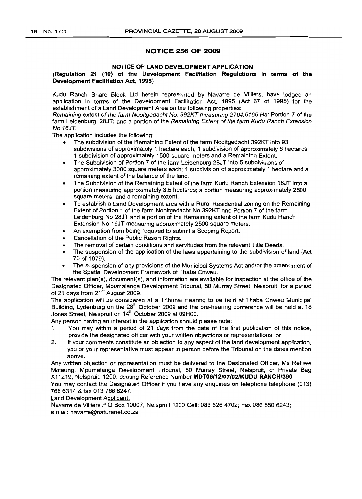## NOTICE 256 OF 2009

## NOTICE OF LAND DEVELOPMENT APPLICATION

## (Regulation 21 (10) of the Development Facilitation Regulations in terms of the Development Facilitation Act, 1995)

Kudu Ranch Share Block Ltd herein represented by Navarre de VilIiers, have lodged an application in terms of the Development Facilitation Act, 1995 (Act 67 of 1995) for the establishment of a Land Development Area on the following properties:

Remaining extent of the farm Nooitgedacht No. 392KT measuring 2704,6166 Ha; Portion 7 of the farm Leidenburg. 28JT; and a portion of the Remaining Extent of the farm Kudu Ranch Extension No 16JT.

The application includes the following:

- The subdivision of the Remaining Extent of the farm Nooitgedacht 392KT into 93 subdivisions of approximately 1 hectare each; 1 subdivision of approximately 6 hectares; 1 subdivision of approximately 1500 square meters and a Remaining Extent.
- The Subdivision of Portion 7 of the farm Leidenburg 28JT into 5 subdivisions of approximately 3000 square meters each; 1 subdivision of approximately 1 hectare and a remaining extent of the balance of the land.
- The Subdivision of the Remaining Extent of the farm Kudu Ranch Extension 16JT into a portion measuring approximately 3,5 hectares; a portion measuring approximately 2500 square meters and a remaining extent.
- To establish a Land Development area with a Rural Residential zoning on the Remaining Extent of Portion 1 of the farm Nooitgedacht No 392KT and Portion 7 of the farm Leidenburg No 28JT and a portion of the Remaining extent of the farm Kudu Ranch Extension No 16JT measuring approximately 2500 square meters.
- An exemption from being required to submit a Scoping Report.
- Cancellation of the Public Resort Rights.
- The removal of certain conditions and servitudes from the relevant Title Deeds.
- The suspension of the application of the laws appertaining to the subdivision of land (Act 70 of 1978).
- The suspension of any provisions of the Municipal Systems Act and/or the amendment of the Spatial Development Framework of Thaba Chweu.

The relevant plan(s), document(s), and information are available for inspection at the office of the Designated Officer, Mpumalanga Development Tribunal, 50 Murray Street, Nelspruit, for a period of 21 days from 21<sup>st</sup> August 2009.

The application will be considered at a Tribunal Hearing to be held at Thaba Chweu Municipal Building, Lydenburg on the 28<sup>th</sup> October 2009 and the pre-hearing conference will be held at 18 Jones Street, Nelspruit on 14<sup>th</sup> October 2009 at 09H00.

Any person having an interest in the application should please note:

- 1 You may within a period of 21 days from the date of the first publication of this notice, provide the designated officer with your written objections or representations, or
- 2. If your comments constitute an objection to any aspect of the land development application, you or your representative must appear in person before the Tribunal on the dates mention above.

Any written objection or representation must be delivered to the Designated Officer, Ms Refilwe Motaung, Mpumalanga Development Tribunal, 50 Murray Street, Nelspruit, or Private Bag X11219, Nelspruit, 1200, quoting Reference Number MDT06/12/07/02/KUDU RANCH/390

You may contact the Designated Officer if you have any enquiries on telephone telephone (013) 7666314 & fax 0137668247.

Land Development Applicant:

Navarre de Villiers P O Box 10007, Nelspruit 1200 Cell: 083 626 4702; Fax 086 550 6243; email: navarre@naturenet.co.za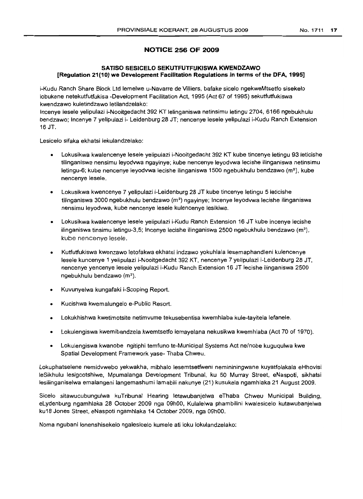## **NOTICE 256 OF 2009**

## **SATISO SESICELO SEKUTFUTFUKISWA KWENDZAWO [Regulation 21(10) we Development Facilitation Regulations in terms of the DFA, 1995J**

i-Kudu Ranch Share Block Ltd lemelwe u-Navarre de Villiers, bafake sicelo ngekweMtsetfo sisekelo lobukene netekutfutfukisa -Development Facilitation Act, 1995 (Act 67 of 1995) sekutfutfukiswa kwendzawo kuletindzawo letilandzelako:

Incenye lesele yelipulazi i-Nooitgedacht 392 KT lelinganiswa netinsimu letingu 2704,6166 ngebukhulu bendzawo; Incenye 7 yelipulazi i- Leidenburg 28 JT; nencenye lesele yelipulazi i-Kudu Ranch Extension 16 JT.

Lesicelo sifaka ekhatsi lekulandzelako:

- Lokusikwa kwalencenye lesele yelipulazi i-Nooitgedacht 392 KT kube tincenye letingu 93 leticishe tilinganiswa nensimu leyodvwa ngayinye; kube nencenye leyodvwa lecishe i1inganiswa netinsimu letingu-6; kube nencenye leyodywa lecishe ilinganiswa 1500 ngebukhulu bendzawo ( $m<sup>2</sup>$ ), kube nencenye lesele.
- Lokusikwa kwencenye 7 yelipulazi i-Leidenburg 28 JT kube tincenye letingu 5 leticishe tilinganiswa 3000 ngebukhulu bendzawo (m<sup>2</sup>) ngayinye; Incenye leyodywa lecishe ilinganiswa nensimu leyodvwa, kube nencenye lesele kulencenye lesikiwe.
- Lokusikwa kwalencenye lesele yelipulazi i-Kudu Ranch Extension 16 JT kube incenye lecishe ilinganiswa tinsimu letingu-3,5; Incenye lecishe ilinganiswa 2500 ngebukhulu bendzawo  $(m^2)$ . kube nencenye lesele.
- Kutfutfukiswa kwenzawo letofakwa ekhatsi indzawo yokuhlala lesemaphandleni kulencenye lesele kuncenye 1 yelipulazi i-Nooitgedacht 392 KT, nencenye 7 yelipulazi i-Leidenburg 28 JT, nencenye yencenye lesele yelipulazi i-Kudu Ranch Extension 16 JT lecishe ilinganiswa 2500 ngebukhulu bendzawo (m<sup>2</sup>).
- Kuvunyelwa kungafaki i-Scoping Report.
- Kucishwa kwemalungelo e-Public Resort.
- Lokukhishwa kwetimotsite netimvume tekusebentisa kwemhlaba kule-tayitela lefanele.
- Lokulengiswa kwemibandzela kwemtsetfo lemayelana nekusikwa kwemhlaba (Act 70 of 1970).
- Lokulengiswa kwanobe ngitiphi temfuno te-Municipal Systems Act ne/nobe kuguqulwa kwe Spatial Development Framework yase- Thaba Chweu.

Lokuphatselene nemidvwebo yekwakha, mibhalo lesemtsetfweni nemininingwane kuyatfolakala eHhovisi leSikhulu lesigcotshiwe, Mpumalanga Development Tribunal, ku 50 Murray Street, eNaspoti, sikhatsi lesilinganiselwa emalangeni langemashumi lamabili nakunye (21) kusukela ngamhlaka 21 August 2009.

Sicelo sitawucubungulwa kuTribunal Hearing letawubanjelwa eThaba Chweu Municipal Building, eLydenburg ngamhlaka 28 October 2009 nga 09hOO, Kulalelwa phambilini kwalesicelo kutawubanjelwa ku18 Jones Street, eNaspoti ngamhlaka 14 October 2009, nga 09hOO.

Noma ngubani lonenshisekelo ngalesicelo kumele ati loku lokulandzelako: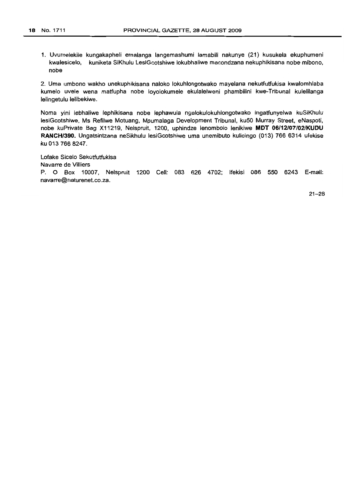1. Uvumelekile kungakapheli emalanga langemashumi lamabili nakunye (21) kusukela ekuphumeni kwalesicelo, kuniketa SiKhulu LesiGcotshiwe lokubhaliwe macondzana nekuphikisana nobe mibono, nobe

2. Uma umbono wakho unekuphikisana naloko lokuhlongotwako mayelana nekutfutfukisa kwalomhlaba kumelo uvele wena matfupha nobe loyolokumele ekulalelweni phambilini kwe-Tribunal kulelilanga lelingetulu lelibekiwe.

Noma yini lebhaliwe lephikisana nobe lephawula ngalokulokuhlongotwako ingatfunyelwa kuSiKhulu lesiGcotshiwe, Ms Refilwe Motuang, Mpumalaga Development Tribunal, ku50 Murray Street, eNaspoti, nobe kuPrivate Bag X11219, Nelspruit, 1200, uphindze lenombolo lenikiwe **MDT 06/12107/02/KUDU RANCH/390.** Ungatsintzana neSikhulu lesiGcotshiwe uma unemibuto kulicingo (013) 766 6314 ufekise ku 013 766 8247.

Lofake Sicelo Sekutfutfukisa Navarre de Villiers P. 0 Box 10007, Nelspruit 1200 Cell: 083 626 4702; ifekisi 086 550 6243 E-mail: navarre@naturenet.co.za.

21-28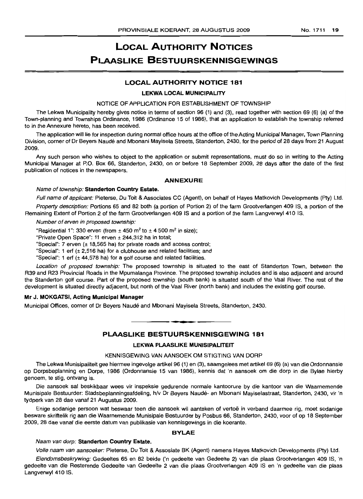# **LOCAL AUTHORITY NOTICES PLAASLIKE BESTUURSKENNISGEWINGS**

## **LOCAL AUTHORITY NOTICE 181**

#### **LEKWA LOCAL MUNICIPALITY**

NOTICE OF APPLICATION FOR ESTABLISHMENT OF TOWNSHIP

The Lekwa Municipality hereby gives notice in terms of section 96 (1) and (3), read together with section 69 (6) (a) of the Town-planning and Townships Ordinance, 1986 (Ordinance 15 of 1986), that an application to establish the township referred to in the Annexure hereto, has been received.

The application will lie for inspection during normal office hours at the office of the Acting Municipal Manager, Town Planning Division, corner of Dr Beyers Naude and Mbonani Mayisela Streets, Standerton, 2430, for the period of 28 days from 21 August 2009.

Any such person who wishes to object to the application or submit representations, must do so in writing to the Acting Municipal Manager at P.O. Box 66, Standerton, 2430, on or before 18 September 2009, 28 days after the date of the first publication of notices in the newspapers.

## **ANNEXURE**

#### Name of township: **Standerton Country Estate.**

Full name of applicant: Pieterse, Du Toit & Associates CC (Agent), on behalf of Hayes Matkovich Developments (Pty) Ltd.

Property description: Portions 65 and 82 both (a portion of Portion 2) of the farm Grootverlangen 409 IS, a portion of the Remaining Extent of Portion 2 of the farm Grootverlangen 409 IS and a portion of the farm Langverwyl 410 IS.

Number of erven in proposed township:

"Residential 1": 330 erven (from  $\pm$  450 m<sup>2</sup> to  $\pm$  4500 m<sup>2</sup> in size);

"Private Open Space": 11 erven ± 244,312 ha in total;

"Special": 7 erven (± 18,565 ha) for private roads and access control;

"Special": 1 erf  $(\pm 2,516$  ha) for a clubhouse and related facilities; and

"Special": 1 erf  $(\pm 44,578$  ha) for a golf course and related facilities.

Location of proposed township: The proposed township is situated to the east of Standerton Town, between the R39 and R23 Provincial Roads in the Mpumalanga Province. The proposed township includes and is also adjacent and around the Standerton golf course. Part of the proposed township (south bank) is situated south of the Vaal River. The rest of the development is situated directly adjacent, but north of the Vaal River (north bank) and includes the existing golf course.

## **Mr J. MOKGATSI, Acting Municipal Manager**

Municipal Offices, corner of Dr Beyers Naude and Mbonani Mayisela Streets, Standerton, 2430.

# **• PLAASLIKE BESTUURSKENNISGEWING 181**

#### **LEKWA PLAASI\_IKE MUNISIPALITEIT**

#### KENNISGEWING VAN AANSOEK OM STIGTING VAN DORP

The Lekwa Munisipaliteit gee hiermee ingevolge artikel 96 (1) en (3), saamgelees met artikel 69 (6) (a) van die Ordonnansie op Dorpsbeplanning en Dorpe, 1986 (Ordonnansie 15 van 1986), kennis dat 'n aansoek am die dorp in die Bylae hierby genoem, te stig, ontvang is.

Die aansoek sal beskikbaar wees vir inspeksie gedurende normale kantoorure by die kantoor van die Waarnemende Munisipale Bestuurder: Stadsbeplanningsafdeling, h/v Dr Beyers Naude- en Mbonani Mayiselastraat, Standerton, 2430, vir 'n tydperk van 28 dae vanaf 21 Augustus 2009.

Enige sodanige persoon wat beswaar teen die aansoek wil aanteken of vertoe in verband daarmee rig, moet sodanige besware skriftelik rig aan die Waarnemende Munisipale Bestuurder by Posbus 66, Standerton, 2430, voor of op 18 September 2009, 28 dae vanaf die eerste datum van publikasie van kennisgewings in die koerante.

#### **BYLAE**

#### Naam van dorp: **Standerton Country Estate.**

Volle naam van aansoeker: Pieterse, Du Toit & Assosiate BK (Agent) namens Hayes Matkovich Developments (Pty) Ltd.

Eiendomsbeskrywing: Gedeeltes 65 en 82 beide ('n gedeelte van Gedeelte 2) van die plaas Grootverlangen 409 IS, 'n gedeelte van die Resterende Gedeelte van Gedeelte 2 van die plaas Grootverlangen 409 IS en 'n gedeelte van die plaas Langverwyl 410 IS.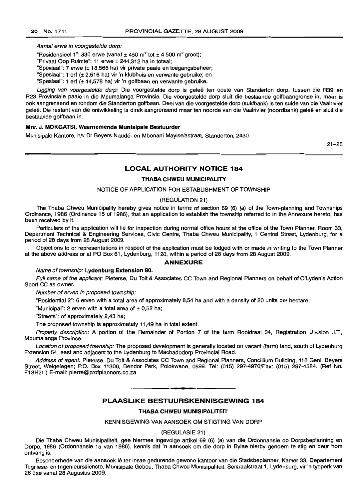Aantal erwe in voorgestelde dorp:

"Residensieel 1": 330 erwe (vanaf  $\pm$  450 m<sup>2</sup> tot  $\pm$  4500 m<sup>2</sup> groot);

"Privaat Oop Ruimte": 11 erwe ± 244,312 ha in totaal;

"Spesiaal": 7 erwe (± 18,565 ha) vir private paaie en toegangsbeheer;

"Spesiaal": 1 erf (± 2,516 ha) vir 'n klubhuis en verwante gebruike; en

"Spesiaal": 1 erf (± 44,578 ha) vir 'n golfbaan en verwante gebruike.

Ligging van voorgestelde dorp: Die voorgestelde dorp is geleë ten ooste van Standerton dorp, tussen die R39 en R23 Provinsiale paaie in die Mpumalanga Provinsie. Die voorgestelde dorp sluit die bestaande golfbaangronde in, maar is ook aangrensend en rondom die Standerton golfbaan. Deel van die voorgestelde dorp (suidbank) is ten suide van die Vaalrivier gelee. Die restant van die ontwikkeling is direk aangrensend maar ten noorde van die Vaalrivier (noordbank) gelee en sluit die bestaande golfbaan in.

## **Mnr. J. MOKGATSI. Waarnemende Munisipale Bestuurder**

Munisipale Kantore, hlv Dr Beyers Naude- en Mbonani Mayiselastraat, Standerton, 2430.

 $21 - 28$ 

## **LOCAL AUTHORITY NOTICE 184**

#### **THABA CHWEU MUNICIPALITY**

#### NOTICE OF APPLICATION FOR ESTABLISHMENT OF TOWNSHIP

## (REGULATION 21)

The Thaba Chweu Municipality hereby gives notice in terms of section 69 (6) (a) of the Town-planning and Townships Ordinance, 1986 (Ordinance 15 of 1986), that an application to establish the township referred to in the Annexure hereto, has been received by it.

Particulars of the application will lie for inspection during normal office hours at the office of the Town Planner, Room 33, Department Technical & Engineering Services, Civic Centre, Thaba Chweu Municipality, 1 Central Street, Lydenburg, for a period of 28 days from 28 August 2009.

Objections to or representations in respect of the application must be lodged with or made in writing to the Town Planner at the above address or at PO Box 61, Lydenburg, 1120, within a period of 28 days from 28 August 2009.

#### **ANNEXURE**

Name of township: **Lydenburg Extension 80.**

Full name of the applicant: Pieterse, Du Toit & Associates CC Town and Regional Planners on behalf of O'Lyden's Action Sport CC as owner.

Number of erven in proposed township:

"Residential 2": 6 erven with a total area of approximately 8,54 ha and with a density of 20 units per hectare;

"Municipal": 2 erven with a total area of  $\pm$  0,52 ha;

"Streets": of approximately 2,43 ha;

The proposed township is approximately 11,49 ha in total extent.

Property description: A portion of the Remainder of Portion 7 of the farm Rooidraai 34, Registration Division J.T., Mpumalanga Province.

Location of proposed township: The proposed development is generally located on vacant (farm) land, south of Lydenburg Extension 54, east and adjacent to the Lydenburg to Machadodorp Provincial Road.

Address of agent: Pieterse, Du Toit & Associates CC Town and Regional Planners, Concillium Building, 118 Genl. Beyers Street, Welge/egen; P.O. Box 11306, Bendor Park, Polokwane, 0699. Tel: (015) 297-4970/Fax: (015) 297-4584. (Ref No. F13H21.) E-mail: pierre@profplanners.co.za

• **• •**

## **PLAASLIKE BESTUURSKENNISGEWING 184**

#### **THABA CHWEU MUNISIPALITEIT**

KENNISGEWING VAN AANSOEK OM STIGTING VAN DORP

(REGULASIE 21)

Die Thaba Chweu Munisipaliteit, gee hiermee ingevolge artikel 69 (6) (a) van die Ordonnansie op Dorpsbeplanning en Dorpe, 1986 (Ordonnansie 15 van 1986), kennis dat 'n aansoek om die dorp in Bylae hierby genoem te stig en deur hom ontvang is.

Besonderhede van die aansoek Ie ter insae gedurende gewone kantoor van die Stadsbeplanner, Kamer 33, Departement Tegniese- en Ingenieursdienste, Munisipale Gebou, Thaba Chweu Munisipaliteit, Sentraalstraat 1, Lydenburg, vir 'n tydperk van 28 dae vanaf 28 Augustus 2009.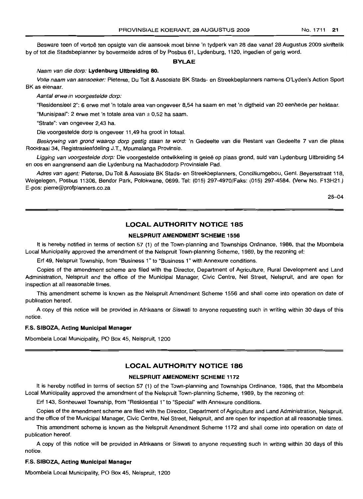Besware teen of vertoe ten opsigte van die aansoek moet binne 'n tydperk van 28 dae vanaf 28 Augustus 2009 skriftelik by of tot die Stadsbeplanner by bovermelde adres of by Posbus 61, Lydenburg, 1120, ingedien of gerig word.

#### **BYLAE**

#### Naam van die dorp: **Lydenburg Ultbreiding** 80.

Volle naam van aansoeker: Pieterse, Du Toit & Assosiate BK Stads- en Streekbeplanners namens O'Lyden's Action Sport BK as eienaar.

Aantal erwe in voorgestelde dorp:

"Residensieel 2": 6 erwe met 'n totale area van onqeveer 8,54 ha saam en met 'n digtheid van 20 eenhede per hektaar.

"Munisipaal": 2 erwe met 'n totale area van ± 0,52 ha saam.

"Strate": van ongeveer 2,43 ha.

Die voorgestelde dorp is ongeveer 11,49 ha groot in totaal,

Beskrywing van grond waarop dorp gestig staan te word: 'n Gedeelte van die Restant van Gedeelte 7 van die plaas Rooidraai 34, Registrasieafdeling J.T., Mpumalanga Provinsie.

Ligging van voorgestelde dorp: Die voorgestelde ontwikkeling is geleë op plaas grond, suid van Lydenburg Uitbreiding 54 en 005 en aangrensend aan die Lydenburg na Machadodorp Provinsiale Pad.

Adres van agent: Pieterse, Du Toit & Assosiate BK Stads- en Streekbeplanners, Concilliumgebou, Genl. Beyersstraat 118, Welgelegen, Posbus 11306, Bendor Park, Polokwane, 0699. Tel: (015) 297-4970/Faks: (015) 297-4584. (Verw No. F13H21.) E-pos: pierre@profplanners.co.za

28-04

## **LOCAL AUTHORITY NOTICE 185**

## **NELSPRUIT AMENDMENT SCHEME** 1556

It is hereby notified in terms of section 57 (1) of the Town-planning and Townships Ordinance, 1986, that the Mbombela Local Municipality approved the amendment of the Nelspruit Town-planning Scheme, 1989, by the rezoning of:

Erf 49, Nelspruit Township, from "Business 1" to "Business 1" with Annexure conditions.

Copies of the amendment scheme are filed with the Director, Department of Agriculture, Rural Development and Land Administration, Nelspruit and the office of the Municipal Manager, Civic Centre, Nel Street, Nelspruit, and are open for inspection at all reasonable times.

This amendment scheme is known as the Nelspruit Amendment Scheme 1556 and shall come into operation on date of publication hereof.

A copy of this notice will be provided in Afrikaans or Siswati to anyone requesting such in writing within 30 days of this notice.

#### ES. SIBOZA, **Acting Municipal Manager**

Mbombela Local Municipality, PO Box 45, Nelspruit, 1200

## **LOCAL AUTHORITY NOTICE 186**

## **NELSPRUIT AMENDMENT SCHEME** 1172

It is hereby notified in terms of section 57 (1) of the Town-planning and Townships Ordinance, 1986, that the Mbombela Local Municipality approved the amendment of the Nefspruit Town-planning Scheme, 1989, by the rezoning of:

Erf 143, Sonheuwel Township, from "Residential 1" to "Special" with Annexure conditions.

Copies of the amendment scheme are filed with the Director, Department of Agriculture and Land Administration, Nelspruit, and the office of the Municipal Manager, Civic Centre, Nel Street, Nelspruit, and are open for inspection at all reasonable times.

This amendment scheme is known as the Nelspruit Amendment Scheme 1172 and shall come into operation on date of publication hereof.

A copy of this notice will be provided in Afrikaans or Siswati to anyone requesting such in writing within 30 days of this notice.

#### ES. SIBOZA, **Acting Municipal Manager**

Mbombela Local Municipality, PO Box 45, Nelspruit, 1200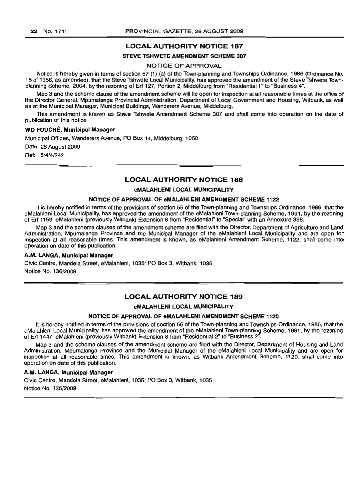## LOCAL AUTHORITY NOTICE 187

#### STEVE TSHWETE AMENDMENT SCHEME 307

## NOTICE OF APPROVAL

Notice is hereby given in terms of section 57 (1) (a) of the Town-planning and Townships Ordinance, 1986 (Ordinance No. 15 of 1986, as amended), that the Steve Tshwete Local Municipality, has approved the amendment of the Steve Tshwete Townplanning Scheme, 2004, by the rezoning of Erf 127, Portion 2, Middelburg from "Residential 1" to "Business 4".

Map 3 and the scheme clause of the amendment scheme will lie open for inspection at all reasonable times at the office of the Director General, Mpumalanga Provincial Administration, Department of Local Government and Housing, Witbank, as well as at the Municipal Manager, Municipal Buildings, Wanderers Avenue, Middelburg.

This amendment is known as Steve Tshwete Amendment Scheme 307 and shall come into operation on the date of publication of this notice.

## WD FOUCHE, Municipal Manager

Municipal Offices, Wanderers Avenue, PO Box 14, Middelburg, 1050

Date: 28 August 2009

Ref: 15/4/4/242

## LOCAL AUTHORITY NOTICE 188

#### eMALAHLENI LOCAL MUNICIPALITY

#### NOTICE OF APPROVAL OF eMALAHLENI AMENDMENT SCHEME 1122

It is hereby notified in terms of the provisions of section 56 of the Town-planning and Townships Ordinance, 1986, that the eMalahleni Local Municipality, has approved the amendment of the eMalahleni Town-planning Scheme, 1991, by the rezoning of Erf 1159, eMalahleni (previously Witbank) Extension 8 from "Residential" to "Special" with an Annexure 398.

Map 3 and the scheme clauses of the amendment scheme are filed with the Director, Department of Agriculture and Land Administration, Mpumalanga Province and the Municipal Manager of the eMalahleni Local Municipality and are open for inspection at all reasonable times. This amendment is known, as eMalahleni Amendment Scheme, 1122, shall come into operation on date of this publication.

#### A.M. LANGA, Municipal Manager

Civic Centre, Mandela Street, eMalahleni, 1035; PO Box 3, Witbank, 1035 Notice No. 136/2009

## LOCAL AUTHORITY NOTICE 189

## eMALAHLENI LOCAL MUNICIPAl\_lTV

## NOTICE OF APPROVAL OF eMALAHLENI AMENDMENT SCHEME 1120

It is hereby notified in terms of the provisions of section 56 of the Town-planning and Townships Ordinance, 1986, that the eMalahleni Local Municipality, has approved the amendment of the eMalahleni Town-planning Scheme, 1991, by the rezoning of Erf 1447, eMalahleni (previously Witbank) Extension 8 from "Residential 2" to "Business 2".

Map 3 and the scheme clauses of the amendment scheme are filed with the Director, Department of Housing and Land Administration, Mpumalanga Province and the Municipal Manager of the eMalahleni Local Municipality and are open for inspection at all reasonable times. This amendment is known, as Witbank Amendment Scheme, 1120, shall come into operation on date of this publication.

#### A.M. LANGA, Municipal Manager

Civic Centre, Mandela Street, eMalahleni, 1035; PO Box 3, Witbank, 1035 Notice No. 135/2009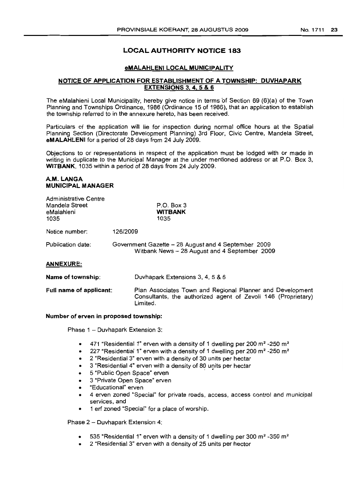## No. 1711 23

## LOCAL AUTHORITY NOTICE 183

## eMALAHLENI LOCAL MUNICIPALITY

## NOTICE OF APPLICATION FOR ESTABLISHMENT OF A TOWNSHIP: DUVHAPARK EXTENSIONS 3, 4, 5 & 6

The eMalahleni Local Municipality, hereby give notice in terms 'of Section 69 (6)(a) of the Town Planning and Townships Ordinance, 1986 (Ordinance 15 of 1986), that an application to establish the township referred to in the annexure hereto, has been received.

Particulars of the application will lie for inspection during normal office hours at the Spatial Planning Section (Directorate Development Planning) 3rd Floor, Civic Centre, Mandela Street, eMALAHLENI for a period of 28 days from 24 July 2009.

Objections to or representations in respect of the application must be lodged with or made in writing in duplicate to the Municipal Manager at the under mentioned address or at P.O. Box 3, WITBANK, 1035 within a period of 28 days from 24 July 2009.

## A.M. LANGA MUNICIPAL MANAGER

| Administrative Centre<br>Mandela Street<br>eMalahleni<br>1035 | $P.O.$ Box 3<br><b>WITBANK</b><br>1035                                                                                                 |  |
|---------------------------------------------------------------|----------------------------------------------------------------------------------------------------------------------------------------|--|
| Notice number:                                                | 126/2009                                                                                                                               |  |
| Publication date:                                             | Government Gazette – 28 August and 4 September 2009<br>Witbank News - 28 August and 4 September 2009                                   |  |
| <b>ANNEXURE:</b>                                              |                                                                                                                                        |  |
| Name of township:                                             | Duvhapark Extensions 3, 4, 5 & 6                                                                                                       |  |
| Full name of applicant:                                       | Plan Associates Town and Regional Planner and Development<br>Consultants, the authorized agent of Zevoli 146 (Proprietary)<br>Limited. |  |

### Number of erven in proposed township:

Phase 1 - Duvhapark Extension 3:

- 471 "Residential 1" erven with a density of 1 dwelling per 200  $m^2$  -250  $m^2$
- 227 "Residential 1" erven with a density of 1 dwelling per 200  $m^2$  -250  $m^2$
- 2 "Residential 3" erven with a density of 30 units per hectar
- 3 "Residential 4" erven with a density of 80 units per hectar
- 5 "Public Open Space" erven
- 3 "Private Open Space" erven
- "Educational" erven
- 4 erven zoned "Special" for private roads, access, access control and municipal services, and
- 1 ert zoned "Special" for a place of worship.

Phase 2 - Duvhapark Extension 4:

- 535 "Residential 1" erven with a density of 1 dwelling per 300 m<sup>2</sup> -350 m<sup>2</sup>
- 2 "Residential 3" erven with a density of 25 units per hector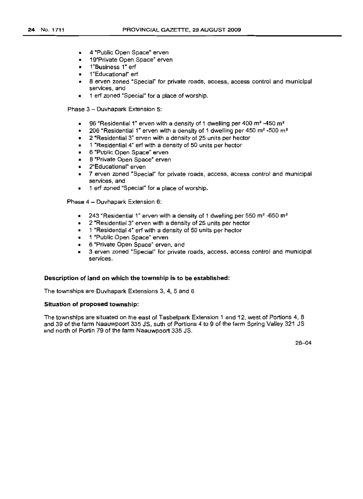- 4 "Public Open Space" erven
- 19"Private Open Space" erven
- 1"Business 1" erf
- 1"Educational" erf
- 8 erven zoned "Special" for private roads, access, access control and municipal services, and
- 1 erf zoned "Special" for a place of worship.

Phase 3 - Duvhapark Extension 5:

- 96 "Residential 1" erven with a density of 1 dwelling per 400  $m^2$  -450  $m^2$
- 206 "Residential 1" erven with a density of 1 dwelling per 450  $m^2$  -500  $m^2$
- 2 "Residential 3" erven with a density of 25 units per hector
- 1 "Residential 4" erf with a density of 50 units per hector
- 6 "Public Open Space" erven
- 8 "Private Open Space" erven
- 2"Educational" erven
- 7 erven zoned "Special" for private roads, access, access control and municipal services, and
- 1 erf zoned "Special" for a place of worship.

Phase 4 - Duvhapark Extension 6:

- 243 "Residential 1" erven with a density of 1 dwelling per 550  $m^2$  -650 m<sup>2</sup>
- 2 "Residential 3" erven with a density of 25 units per hector
- 1 "Residential 4" erf with a density of 50 units per hector
- 1 "Public Open Space" erven
- 6 "Private Open Space" erven, and
- 3 erven zoned "Special" for private roads, access, access control and municipal services.

## **Description of land on which the township is to be established:**

The townships are Duvhapark Extensions 3, 4, 5 and 6

#### **Situation of proposed township:**

The townships are situated on the east of Tasbetpark Extension 1 and 12, west of Portions 4, 8 and 39 of the farm Naauwpoort 335 JS, suth of Portions 4 to 9 of the farm Spring Valley 321 JS and north of Portin 79 of the farm Naauwpoort 335 JS.

28-04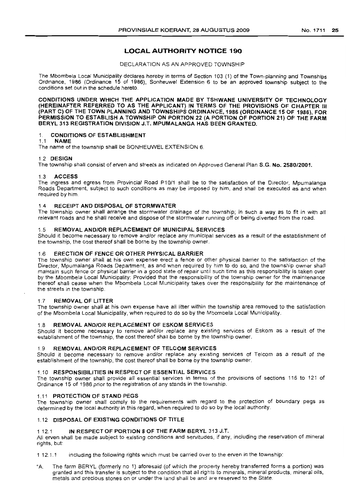#### No. 1711 25

## **LOCAL AUTHORITY NOTICE 190**

DECLARATION AS AN APPROVED TOWNSHIP

The Mbombela Local Municipality declares hereby in terms of Section 103 (1) of the Town-planning and Townships Ordinance, 1986 (Ordinance 15 of 1986), Sonheuwel Extension 6 to be an approved township subject to the conditions set out in the schedule hereto.

CONDITIONS UNDER WHICH THE APPLICATION MADE BY TSHWANE UNIVERSITY OF TECHNOLOGY (HEREINAFTER REFERRED TO AS THE APPLICANT) IN TERMS OF THE PROVISIONS OF CHAPTER III (PART C) OF THE TOWN PLANNING AND TOWNSHIPS ORDINANCE, 1986 (ORDINANCE 15 OF 1986), FOR PERMISSION TO ESTABLISH A TOWNSHIP ON PORTION 22 (A PORTION OF PORTION 21) OF THE FARM BERYL 313 REGISTRATION DIVISION J.T. MPUMALANGA HAS BEEN GRANTED.

#### 1. CONDITIONS OF ESTABLISHMENT

1.1 NAME

The name of the township shall be SONHEUWEL EXTENSION 6.

#### 1.2 DESIGN

The township shall consist of erven and streets as indicated on Approved General Plan S.G. No. 2580/2001.

#### 1.3 ACCESS

The ingress and egress from Provincial Road P1011 shall be to the satisfaction of the Director, Mpumalanga Roads Department, subject to such conditions as may be imposed by him, and shall be executed as and when required by him

## 1.4 RECEIPT AND DISPOSAL OF STORMWATER

The township owner shall arrange the stormwater drainage of the township; in such a way as to fit in with all relevant roads and he shall receive and dispose of the stormwater running off or being diverted from the road.

#### 1.5 REMOVAL AND/OR REPLACEMENT OF MUNICIPAL SERVICES

Should it become necessary to remove and/or replace any municipal services as a result of the establishment of the township, the cost thereof shall be borne by the township owner.

## 1.6 ERECTION OF FENCE OR OTHER PHYSICAL BARRIER

The township owner shall at his own expense erect a fence or other physical barrier to the satisfaction of the Director, Mpumalanga Roads Department, as and when required by him to do so, and the township owner shall maintain such fence or physical barrier in a good state of repair until such time as this responsibility is taken over by the Mbombela Local Municipality: Provided that the responsibility of the township owner for the maintenance thereof shall cease when the Mbombela Local Municipality takes over the responsibility for the maintenance of the streets in the township. .

## 1.7 REMOVAL OF LITTER

The township owner shall at his own expense have all litter within the township area removed to the satisfaction of the Mbombela Local Municipality, when required to do so by the Mbombela Local Municipality.

#### 1.8 REMOVAL AND/OR REPLACEMENT OF ESKOM SERVICES

Should it become necessary to remove and/or replace any existing services of Eskom as a result of the establishment of the township, the cost thereof shall be borne by the township owner.

#### 19 REMOVAL AND/OR REPLACEMENT OF TELCOM SERVICES

Should it become necessary to remove and/or replace any existing services of Telcom as a result of the establishment of the township, the cost thereof shall be borne by the township owner.

## 1.10 RESPONSIBILITIES IN RESPECT OF ESSENTIAL SERVICES

The township owner shall provide all essential services in terms of the provisions of sections 116 to 121 of Ordinance 15 of 1986 prior to the registration of any stands in the township.

## 1.11 PROTECTION OF STAND PEGS

The township owner shall comply to the requirements With regard to the protection of boundary pegs as determined by the local authority in this regard, when required to do so by the local authority.

#### 1.12 DISPOSAL OF EXISTING CONDITIONS OF TITLE

#### 1 12.1 IN RESPECT OF PORTION 8 OF THE FARM BERYL 313 J.T.

All erven shall be made subject to existing conditions and servitudes, if any, including the reservation of mineral rights, but:

112.1.1 including the following rights which must be carried over to the erven in the township:

"A. The farm BERYL (formerly no 1) aforesaid (of which the property hereby transferred forms a portion) was granted and this transfer is SUbject to the condition that all rights to minerals, mineral products, mineral oils, metals and precious stones on or under the land shall be and are reserved to the State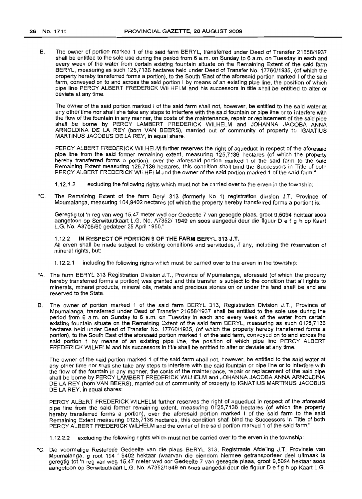B. The owner of portion marked 1 of the said farm BERYL, transferred under Deed of Transfer 21658/1937 shall be entitled to the sole use during the period from 6 a.m. on Sunday to 6 a.m. on Tuesday in each and every week of the water from certain existing fountain situate on the Remaining Extent of the said farm BERYL, measuring as such 125,7136 hectares held under Deed of Transfer No. 17760/1935, (of which the property hereby transferred forms a portion), to the South 'East of the aforesaid portion marked I of the said farm, conveyed on to and across the said portion I by means of an existing pipe line, the position of which pipe line PERCY ALBERT FREDERICK WILHELM and his successors in title shall be entitled to alter or deviate at any time.

The owner of the said portion marked I of the said farm shall not, however, be entitled to the said water at any other time nor shall she take any steps to interfere with the said fountain or pipe line or to interfere with the flow of the fountain in any manner, the costs of the maintenance, repair or replacement of the said pipe shall be borne by PERCY LAMBERT FREDERICK WILHELM and JOHANNA JACOBA ANNA ARNOLDINA DE LA REY (born VAN BEERS), married out of community of property to IGNATIUS MARTIN US JACOBUS DE LA REY, in equal share.

PERCY ALBERT FREDERICK WILHELM further reserves the right of aqueduct in respect of the aforesaid pipe line from the said former remaining extent, measuring 125,7136 hectares (of which the property hereby transferred forms a portion), over the aforesaid portion marked I of the said farm to the said Remaining Extent measuring 125,7136 hectares, this condition shall bind the Successors in Title of both PERCY ALBERT FREDERICK WILHELM and the owner of the said portion marked 1 of the said farm."

- 1.12.1.2 excluding the following rights which must not be carried over to the erven in the township:
- "C. The Remaining Extent of the farm Beryl 313 (formerly No 1) registration division J.T. Province of Mpumalanga, measuring 104,9402 hectares (of which the property hereby transferred forms a portion) is:

Geregtig tot 'n reg van weg 15,47 meter wyd oor Gedeelte 7 van gesegde plaas, groot 9,5094 hektaar soos aangetoon op Serwituutkaart L.G. No. A7352/ 1949 en soos aangedui deur die f1guur D e f g h op Kaart L.G. No. *A3706/60* gedateer 25 April 1950."

## 1.12.2 **IN** RESPECT OF PORTION 9 OF THE FARM BERYL 313 J.T.

All erven shall be made subject to existing conditions and servitudes, if any, including the reservation of mineral rights, but:

- 1.12.2.1 including the following rights which must be carried over to the erven in the township:
- "A. The farm BERYL 313 Registration Division J.T., Province of Mpumalanga, aforesaid (of which the property hereby transferred forms a portion) was granted and this transfer is subject to the condition that all rights to minerals, mineral products, mineral oils, metals and precious stones on or under the land shall be and are reserved to the State.
- B. The owner of portion marked 1 of the said farm BERYL 313, Registration Division J.T., Province of Mpumalanga, transferred under Deed of Transfer 21658/1937 shall be entitled to the sole use during the period from 6 a.m. on Sunday to 6 a.m. on Tuesday in each and every week of the water from certain existing fountain situate on the Remaining Extent of the said farm BERYL, measuring as such 0125,7136 hectares held under Deed of Transfer No. *17760/1935,* (of which the property hereby transferred forms a portion), to the South East of the aforesaid portion marked 1 of the said farm, conveyed on to and across the said portion 1 by means of an existing pipe line, the position of which pipe line PERCY ALBERT FREDERICK WILHELM and his successors in title shall be entitled to alter or deviate at any time.

The owner of the said portion marked 1 of the said farm shall not, however, be entitled to the said water at any other time nor shall she take any steps to interfere with the said fountain or pipe line or to interfere with the flow of the fountain in any manner, the costs of the maintenance, repair or replacement of the said pipe shall be borne by PERCY LAMBERT FREDERICK WILHELM and JOHANNA JACOBA ANNA ARNOLDINA DE LA REY (born VAN BEERS), married out of community of property to IGNATIUS MARTINUS JACOBUS DE LA REY, in equal shares:

PERCY ALBERT FREDERICK WILHELM further reserves the right of aqueduct in respect of the aforesaid pipe line from the said former remaining extent, measuring 0125,7136 hectares (of which the property hereby transferred forms a portion), over the aforesaid portion marked I of the said farm to the said Remaining Extent measuring 0125,7136 hectares, this condition shall bind the Successors in Title of both PERCY ALBERT FREDERICK WILHELM and the owner of the said portion marked 1 of the said farm."

1.12.2.2 excluding the following rights which must not be carried over to the erven in the township:

"C. Die voormalige Resterede Gedeelte van die plaas BERYL 313, Registrasie Afdeling J.T. Provinsie van Mpumalanga, groat 104 ' 9402 hektaar (waarvan die eiendom hiermee getransporteer deel uitmaak is geregtig tot 'n reg van weg 15,47 meter wyd oor Gedeelte 7 van gesegde plaas, groot 9,5094 hektaar soos aangetoon op Serwituutkaart L.G. No. A7352/1949 en soos aangedui deur die figuur D e f 9 h op Kaart L.G.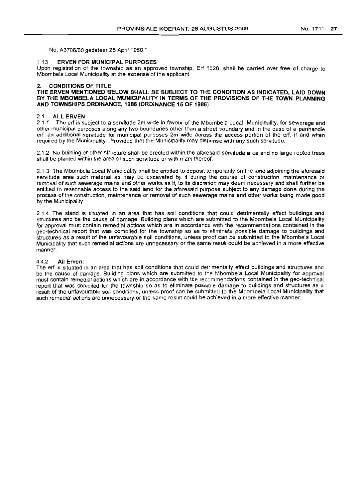No. *A3706/60* gedateer 25 April 1950."

#### 1.13 **ERVEN FOR MUNICIPAL PURPOSES**

Upon registration of the township as an approved township, Erf 1520, shall be carried over free of charge to Mbombela Local Municipality at the expense of the applicant.

## 2. **CONDITIONS OF TITLE**

**THE ERVEN MENTIONED BELOW SHALL BE SUBJECT TO THE CONDITION AS INDICATED, LAID DOWN BY THE MBOMBELA LOCAL MUNICIPALITY IN TERMS OF THE PROVISIONS OF THE TOWN PLANNING AND TOWNSHIPS ORDINANCE, 1986 (ORDINANCE 15 OF** 1986)

#### 2.1 **ALL ERVEN**

2.1.1 The erf is subject to a servitude 2m wide in favour of the Mbombela Local Municipality, for sewerage and other municipal purposes along any two boundaries other than a street boundary and in the case of a panhandle erf, an additional servitude for municipal purposes 2m wide across the access portion of the erf, if and when required by the Municipality: Provided that the Municipality may dispense with any such servitude.

2.1.2 No buildinq or other structure shall be erected within the aforesaid servitude area and no large rooted trees shall be planted within the area of such servitude or within 2m thereof.

2.1.3 The Mbombela Local Municipality shall be entitled to deposit temporarily on the land adjoining the aforesaid servitude area such material as may be excavated by it during the course of construction, maintenance or removal of such sewerage mains and other works as it, to its discretion may deem necessary and shall further be entitled to reasonable access to the said land for the aforesaid purpose subject to any damage done during the process of the construction, maintenance or removal of such sewerage mains and other works being made good by the Municipality

2.1.4 The stand is situated in an area that has soil conditions that could detrimentally effect buildings and structures and be the cause of damage. BUilding plans which are submitted to the Mbombela Local Municipality for approval must contain remedial actions which are in accordance with the recommendations contained in the geo-technical report that was compiled for the township so as to eliminate possible damage to buildings and structures as a result of the unfavourable soil conditions, unless proof can be submitted to the Mbombela Local Municipality that such remedial actions are unnecessary or the same result could be achieved in a more effective manner.

#### 4.4.2 **All** Erven:

The erf is situated in an area that has soil conditions that could detrimentally effect buildings and structures and be the cause of damage. Building plans which are submitted to the Mbombela Local Municipality for approval must contain remedial actions which are in accordance with the recommendations contained in the geo-technical report that was compiled for the township so as to eliminate possible damage to buildings and structures as a result of the unfavourable soil conditions, unless proof can be submitted to the Mbombela Local Municipality that such remedial actions are unnecessary or the same result could be achieved in a more effective manner.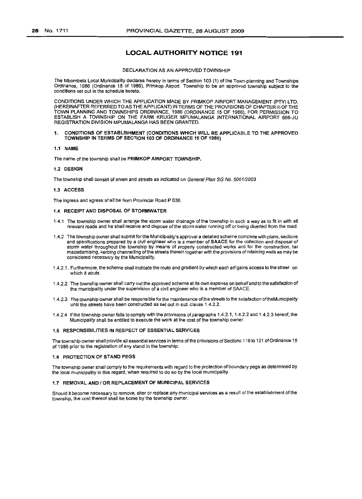## **LOCAL AUTHORITY NOTICE 191**

#### DECLARATION AS AN APPROVED TOWNSHIP

The Mbombela Local Municipality declares hereby in terms of Section 103 (1) ofthe Town-planning and Townships Ordinance, 1986 (Ordinance 15 of 1986), Primkop Airport Township to be an approved township SUbject to the conditions set out in the schedule hereto.

CONDITIONS UNDER WHICH THE APPLICATION MADE BY PRIMKOP AIRPORT MANAGEMENT (PTY) LTD. (HEREINAFTER REFERRED TO AS THE APPLICANT) IN TERMS OF THE PROVISIONS OF CHAPTER IIIOF THE TOWN PLANNING AND TOWNSHIPS ORDINANCE, '1986 (ORDINANCE 15 OF 1986), FOR PERMISSION TO ESTABLISH A TOWNSHIP ON THE FARM KRUGER MPUMALANGA INTERNATIONAL AIRPORT 666-JU REGISTRATION DIVISION MPUMALANGA HAS BEEN GRANTED.

#### 1. CONDITIONS OF ESTABLISHMENT (CONDITIONS WHICH WILL BE APPLICABLE TO THE APPROVED TOWNSHIP IN TERMS OF SECTION 103 OF ORDINANCE 15 OF 1986)

#### 1.1 NAME

The name of the township shall be PRIMKOP AIRPORT TOWNSHIP.

#### 1.2 DESIGN

The township shall consist of erven and streets as indicated on General Plan SG No. 5061/2003

#### 1.3 ACCESS

The ingress and egress shall be from Provincial Road P 636.

#### 1.4 RECEIPT AND DISPOSAL OF STORMWATER

- 1.4.1 The township owner shall arrange the storm water drainage of the township in such a way as to frt in with all relevant roads and he shall receive and dispose of the storm water running off or being diverted from the road.
- 1.4.2 The township owner shall submit for the Municipality's approval a detailed scheme complete with plans, sections and specifications prepared by a civil engineer who is a member of SAACE for the collection and disposal of storm water throughout the township by means of properly constructed works and for the construction, tar macadamising, kerbing channelling of the streets therein together with the provisions of retaining walls as may be considered necessary by the Municipality.
- 1.4.2.1. Furthermore, the scheme shall indicate the route and gradient by which each ert gains access to the street on which it abuts.
- 1.4.2.2 The township owner shall carry out the approved scheme at its own expense on behalf and to the satisfaction of the municipality under the supervision of a civil engineer who is a member of SAACE.
- 1.4.2.3 The township owner shall be responsible forthe maintenance of the streets to the satisfaction oftheMunicipality until the streets have been constructed as set out in sub clause 1.4.2.2.
- 1.4.2.4 If the township owner fails to comply with the provisions of paragraphs 1.4.2.1, 1.4.2.2 and 1.4.2.3 hereof, the Municipality shall be entitled to execute the work at the cost of the township owner.

#### 1.5 RESPONSIBILITIES IN RESPECT OF ESSENTIAL SERVICES

The township owner shall provide all essential services in terms of the provisions of Sections 116 to 121 of Ordinance 15 of 19B6 prior to the registration of any stand in the township.

#### 1.6 PROTECTION OF STAND PEGS

The township owner shall comply to the requirements with regard to the protection of boundary pegs as determined by the local municipality in this regard, when required to do so by the local municipality.

#### 1.7 REMOVAL AND I OR REPLACEMENT OF MUNICIPAL SERVICES

Should it become necessary to remove, alter or replace any municipal services as a result of the establishment of the township, the cost thereof shall be borne by the township owner.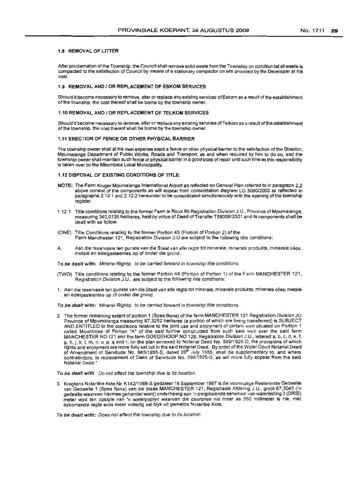#### 1.8 REMOVAL OF LITTER

After proclamation of the Township, the Council shall remove solid waste from the Township on condition tat allwaste is compacted to the satisfaction of Council by means of a stationary compactor on site provided by the Developer at his cost.

## 1.9 REMOVAL AND 1OR REPLACEMENT OF ESKOM SERVICES

Should it become necessary to remove, alter or replace any existing services ofEskom as a result of the establishment of the township, the cost thereof shall be borne by the township owner.

#### 1.10 REMOVAL AND / OR REPLACEMENT OF TELKOM SERVICES

Should it become necessary to remove, alter or replace any existing services of Telkom as a result of the establishment of the township, the cost thereof shall be bome by the township owner.

#### 1.11 ERECTION OF FENCE OR OTHER PHYSICAL BARRIER

The township owner shall at his own expense erect a fence or other physical barrier to the satisfaction of the Director, Mpumalanga Department of Public Works, Roads and Transport, as and when required by him to do so, and the township owner shall maintain such fence or physical barrier in a good state of repair until such time as this responsibility is taken over by the Mbombela Local Municipality.

#### 1.12 DISPOSAL OF EXISTING CONDITIONS OF TITLE

- NOTE: The Farm Kruger Mpumalanga International Airport as reflected on General Plan referred to in paragraph 2,2 above consist of the components as will appear from consolidation diagram LG 506012003 as reflected in paragraphs 2.12.1 and 2.12.2 hereunder to be consolidated simultaneously with the opening of the township register.
- 1.12.1 Title conditions relating to the former Farm Ie Raux 90 Registration Division J.U., Province of Mpumalanga, measuring 340,0136 hectares, held by virtue of Deed ofTransfer T59006/2001 and its components shall be dealt with as follow:
- (ONE) Title Conditions relating to the former Portion 45 (Portion of Portion 2) of the Farm Manchester 121, Registration Division J.U are SUbject to the following title conditions:
- A. Aan die reservasie ten gunste van die Staat van alle regte tot minerale, minerale produkte, minerale olies, metale en edelgesteentes op of onder die grond.

To be dealt with: Mineral Rights: to be carried forward in township title conditions.

- (TWO) Title conditions relating to the former Portion 44 (Portion of Portion 1) of the Farm MANCHESTER 121, Registration Division J.U., are subject to the following title conditions:
- 1. Aan die reservasie ten gunste van die Staat van aile regte tot minerale, minerale produkte, minerale olies, metale en edelgesteentes op of onder die grond.

To be dealt with: Mineral Rights: to be carried forward in township title conditions.

- 2. The former remaining extent of portion 1 (Spes Bona) of the farm MANCHESTER 121 Registration Division JU Province of Mpumalanga measuring 87,3252 hectares (a portion of which are being transferred) is SUBJECT AND ENTITLED to the conditions relative to the joint use and enjoyment of certain weir situated on Portion 1 called Mountrose of Portion "A" of the said furrow constructed from such said weir over the said farm MANCHESTER NO 121 and the farm GOEDEHOOP NO 128, Registration Division J.U., lettered a, b, c, d, e, f, g. h, j, k, I, m, n. o. p, q and r, on the plan annexed to Notarial Deed No. 599/1925-D, the provisions of which rights and enjoyment are more fully set out in the said Notarial Deed. By order of the Water Court Notarial Deed<br>of Amendment of Servitude No. 885/1955-S, dated 20<sup>th</sup> July 1955, shall be supplementary to, and where<br>contra Notarial Deed."
- To be dealt with: Do not affect the township due to its location.
- 3. Kragtens Notarieie Akte Nr. K142/1988·8 gedateer 16 September 19B7 is die voorrnalige Resterende Gedeelte van Gedeelte 1 (Spes Bona) van die plaas MANCHESTER 121, Registrasie Afdeling J.U., groot 87,3045 ('n gedeelte waarvan hiermee gehandel word) onderhewig aan 'n ewigdurende serwituut van waterleiding 3 (DRIE) meter wyd ten opsigte van 'n waterpyplyn waarvan die deursnee nie meer as 550 millimeter is nie, met bykomende regte soos meer volledig sal blyk uit gemelde Notariële Akte.

To be dealt with: Does not affect the township due to its location.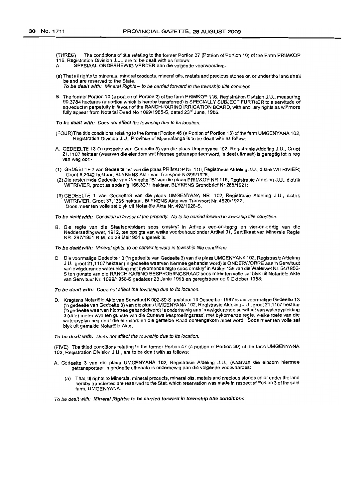(THREE) The conditions of title relating to the former Portion 37 (Portion of Portion 10) of the Farm PRIMKO? 116, Registration Division J.U., are to be dealt with as follows:

- A. SPESlAAL ONDERHEWIG VERDER aan die volgende voorwaardes:-
- (a) That all rights to minerals, mineral products, mineral oils, metals and precious stones on or under the land shall be and are reserved to the State.

To be dealt with: Mineral Rights - to be carried forward in the township title condition.

B. The former Portion 10 (a portion of Portion 2) of the farm PRIMKOP 116, Registration Division J.U., measuring 90,3784 hectares (a portion which is hereby transferred) is SPEC/ALLY SUBJECT FURTHER to a servitude of aqueduct in perpetuity in favour of the RANCH-KARINO IRRIGATION BOARD, with ancillary rights as will more fully appear from Notarial Deed No 1099/1985-S, dated 23<sup>rd</sup> June, 1985.

To be dealt with: Does not affect the township due to its location.

- (FOUR)The title conditions relaling to the former Portion 46 (a Portion of Portion 13) of the farm UMGENYANA 102, Registration Division J.U., Province of Mpumalanga is to be dealt with as follow:
- A. GEDEELTE 13 ('n gedeelte van Gedeelte 3) van die plaas Umgenyana 102, Registrasie Afdeling J.U., Groot 21,1107 hektaar (waarvan die eiendom wat hiermee getransporteer word, 'n deel uitmaak) is gereglig tot 'n reg van weg oor:-
- (1) GEDEELTE 7 van Gedeelte "S"van die plaas PRIMKOP Nr. 116, Registrasie Afdeling J.U., distrikWITRIVIER; Groot 8,2042 hektaar; BLYKENS Akte van Transport Nr399/1926;
- (2) Die resterende Gedeelte van Gedeelte "B" van die plaas PRIMKOP NR 116, Registrasie Afdeling J.U., distrik WITRIVIER, groat as sodanig 166,3371 hektaar, BLYKENS Grondbrief Nr 268/1921;
- (3) GEDEELTE 1 van Gedeelte3 van die piaas UMGENYANA NR. 102, Registrasie Afdeling J.U., distrik WITRIVIER, Groot 37,1335 hektaar, BLYKENS Akte van Transport Nr. *4520/1922;* Soos meer ten volle sal blyk uit Notariele Akte Nr. 492/1928-S.

To be dealt with: Condition in favour of the property. No to be carried forward in township title condition.

B. Die regte van die Staatspresident soos omskryf in Artikels een-en-tagtig en vier-en-dertig van die Neddersettingswet, 1912, ten opsigte van welke voorbehoud onder Artikel 31, Sert/fikaat van Minerale Regte NR. 297/1951 R.M. op 29 Mei1951 uitgereik is.

To be dealt with: Mineral rights: to be carried forward in township title conditions

C. Die voormalige Gedeelte 13 ('n gedeelte van Gedeelte 3) van die plaas UMGENYANA 102, Registrasie Afdeling J.U., groat 21,1107 hektaar ('n gedeelte waarvan hiermee gehandel word) is ONDERWORPE aan 'n Serwituut van ewigdurende waterleiding met bykomende regte soos omskryfin Artikel139 van die Waterwet Nr. *54/1956-* S ten gunste van die RANCH-KARINO BESPROEIINGSRAAD soos meerten volle sal blyk uit Notariele Akte van Serwituut Nr. 1099/1958-S gedateer 23 Junie 1958 en geregistreer op 9 Oktober 1958:

To be dealt with: Does not affect the township due to its location.

D. Kragtens Notariele Akte van Serwituut K 902-89-S gedateer 15 Desember 1987 is die voormalige Gedeelte 13 ('n gedeelte van Gedeelte 3) van die plaas UMGENYANA 102. Registrasie Afdeling J.U., groat 21,1107 hektaar ('n gedeelte waarvan hiermee gehandelword) is onderhewig aan 'n ewigdurende serwituut van waterpypleiding 3 (drie) meter wyd ten gunste van die Curlews Besproeiingsraad, met bykomende regte, welke roete van die waterpyp/yn nog deur die eienaars en die gemelde Raad ooreengekom moet word. Soos meer ten volle sal blyk uit gemelde Notariele Akte.

To be dealt with: Does not affect the township due to its location.

(FIVE) The titled conditions relating to the former Portion 47 (a portion of Portion 30) of the farm UMGENYANA 102, Registration Division J.U., are to be dealt with as follows:

- A. Gedeelte 3 van die plaas UMGENYANA 102, Registrasie Afdeling J.U., (waarvan die eindom hiermee getransporteer 'n gedeelte uitmaak) is onderhewig aan die volgende voorwaardes:
	- (a) That all rights to Minerals, mineral products, mineral oils, metals and precious stones on or underthe land hereby transferred are reserved to the Stat, which reservation was made in respect of Portion 3 of the said farm, UMGENYANA.

To be dealt with: Mineral Rights: to be carried forward in township title conditions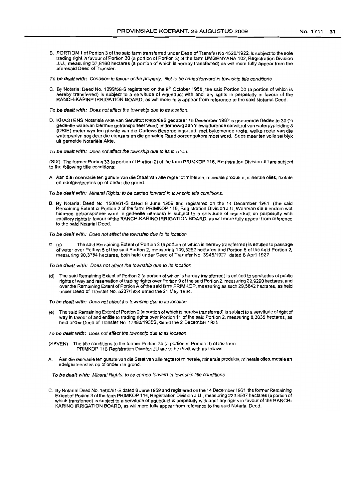8. PORTION 1 of Portion 3 of the said farm transferred under Dead of Transfer No 4520/1922, is subject to the sale trading right in favour of Portion 30 (a portion of Portion 3) of the farm UMGENYANA 102, Registration Division J.U., measuring 37,8160 hectares (a portion of which is hereby transferred) as will more fully appear from the aforesaid Deed of Transfer.

To be dealt with: Condition in favour of the property. Not to be caned forward in township title conditions

C. By Notarial Deed No. 1099/58-S registered on the 9<sup>th</sup> October 1958, the said Portion 30 (a portion of which is hereby transferred) is subject to a servitude of Aqueduct with ancillary rights in perpetuity in favour of the RANCH-KARINP IRRIGATION BOARD, as will more fully appear from reference to the said Notarial Deed.

To be dealt with: Does not affect the township due to its location.

D. KRAGTENS Notariële Akte van Serwittut K902/89S gedateer 15 Desember 1987 is genoemde Gedeelte 30 ('n gedeelte waarvan hiermee getransporteer word) onderhewig aan 'n ewigdurende serwituut van waterpypleiding 3 (DRIE) meter wyd ten gusnte van die Curlews Besproeiingsraad, met bykomende regte, welke roete van die waterpyplyn nag deur die eienaars en die gemelde Raad ooreengekom moet word. Soos meerten volle sal blyk uit gemelde Notariele Akte.

To be dealt with: Does not affect the township due to its focation.

(SIX) The former Portion 33 (a portion of Portion 2) of the farm PRIMKOP 116, Registration Division JU are SUbject to the following title conditions:

A. Aan die reservasie ten gunste van die Staat van alle regte tot minerale, minerale produkte, minerale olies, metale en edelgesteentes op of onder die grand.

To be dealt with: Mineral Rights: to be carried forward in township title conditions.

8. By Notarial Deed No. 1500/61-5 dated 8 June 1959 and registered on the 14 December 1961, (the said Remaining Extent of Portion 2 of the farm PRIMKOP 116, Registration Division J.U, Waarvan die eiendom wat hiermee getranspoteer word 'n gedeelte uitmaak) is subject to a servitude of aqueduct on perpetuity with ancillary rights in favour of the RANCH-KARINO IRRIGATION BOARD, as will more fully appearfram reference to the said Notarial Deed.

To be dealt with: Does not effect the township due to its location

D (c) The said Remaining Extent of Portion 2 (a portion of which is hereby transferred} is entitled to passage of water over Portion 5 ofthe said Portion 2, measuring 109,5262 hectares and Portion 6 of the said Portion 2, measuring 90,3784 hectares, both held under Deed of Transfer No. 3945/1927, dated 6 April 1927.

To be dealt with: Does not affect the township due to its location

- (d) The said Remaining Extent of Portion 2 (a portion of which is hereby transferred) is entitled to servitudes of public rights of way and reservation of trading rights over Portion 9 of the said Portion 2, measuring 22,9290 hectares, and over the Remaining Extent of Portion A of the said farm PRIMKOP, measuring as such 29,5842 hectares, as held under Deed of Transfer No. 5237/1934 dated the 21 May 1934.
- To be dealt with: Does not affect the township due to its location
- (e) The said Remaining Extent of Portion 2 (a portion of which is hereby transferred) is subject to a servitude of right of way in favour of and entitle to trading rights over Portion 11 of the said Portion 2, measuring 8,3035 hectares, as held under Deed of Transfer No. 17480/1935S, dated the 2 December 1935.

To be dealt with: Does not affect the township due to its location

- (SEVEN) The title conditions to the former Portion 34 (a portion of Portion 3) of the farm PRIMKOP 116 Registration Division JU are to be dealt with as follows:
- A. Aan die resrvasie ten gunste van die Staat van aile reqte tot minerale, minerale produkte, minerale olies, metale en edelgesteenstes op of onder die grond.

To be dealt with: Mineral Rights: to be carried forward in township title conditions

C. By Notarial Deed No. 1500/61-S dated 8 June 1959 and registered on the 14 December 1961, the former Remaining Extent of Portion 3 ofthe farm PRIMKOP 116, Registration Division J.U., measuring 223.8537 hectares (a portion of which transferred) is subject to a servitude of aqueduct in perpetuity with ancillary rights in favour of the RANCH-KARINO IRRIGATION BOARD, as will more fully appear from reference to the said Notarial Deed.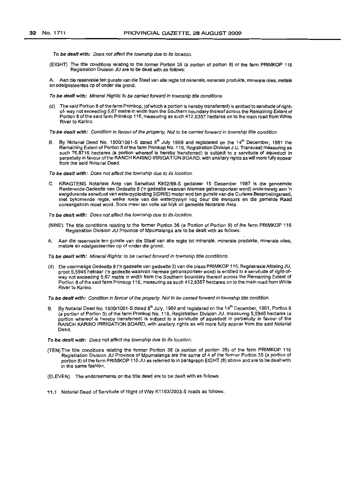To be dealt with: Does not affect the township due to its location.

(EIGHT) The title conditions relating to the former Portion 35 (a portion of portion 8) of the farm PRIMKOP 116 Registration Division JU are to be dealt with as follows:

Aan die reservasie ten gunste van die Staat van alle regte tot minerale, minerale produkte, minerale olies, metale en edelgesteentes op of onder die grond.

To be dealt with: Mineral Rights: to be carried forward in township title conditions.

(d) The said Portion 8 of the farm Primkop, (of which a portion is hereby transferred) is entitled to servitude of rightof- way not exceeding 5,67 metre in width from the Southern boundary thereof across the Remaining Extent of Portion 8 ofthe said farm Primkop 116, measuring as such 412,6357 hectares on to the main road from White River to Karino.

To be dealt with: Condition in favour of the property, Not to be carried forward in township title condition.

B. By Notarial Deed No. 1500/1061-S dated 8<sup>th</sup> July 1959 and registered on the 14<sup>th</sup> December, 1961 the Remaining Extent of Portion 8 ofthe farm Primkop No. 116, Registration Division J.U. Transvaal; measuring as such 76,8716 hectares (a portion whereof is hereby transferred) is subject to a servitude of aqueduct in perpetuity in favour of the RANCH KARINO IRRIGATION BOARD, with anallary rights as will more fully appear from the said Notarial Deed.

To be dealt with: Does not affect the township due to its location.

C. KRAGTENS Notariele Akte van Serwituut K902189-S gedateer 15 Desember 1987 is die genoemde Resterende Gedeelte van Gedeelte 8 *en* gedeelte waarvan hiermee getransporteer word) onderhewig aan 'n ewigdurende serwituut van waterpypleiding 3(DRIE) meter wyd ten gunste van die Curlews Besproeiingsraad, met bykomende regte, welke roete van die waterpyplyn nag deur die eienaars en die gemelde Raad ooreengekom moet word. Soos meer ten volle sal blyk uit gemelde Notariale Akte

To be dealt with: Does not affect the township due to its location.

- (NINE) The title conditions relating to the former Portion 36 (a Portion of Portion 9) of the farm PRIMKOP 116 Registration Division JU Province of Mpumalanga are to be dealt with as follows:
- Aan die reservasie ten gunste van die Staat van alle regte tot minerale, minerale produkte, minerale olies, metale en edelgesteentes op of onder die grand.

To be dealt with: Mineral Rights: to be carried forward in township title conditions.

(d) Die voormalige Gedeelte 9 ('n gedeelte van gedeelte 3) van die plaas PRIMKOP 116, RegristrasieAfdeling JU, groot 5,5946 hektaar ('n gedeelte waarvan hiermee getransporteer word) is entitled to a servitude of right-ofway not exceeding 5,67 metre in width from the Southern boundary thereof across the Remaining Extent of Portion 8 of the said farm Primkop 116, measuring as such 412,6357 hectares on to the main road from White River to Karina.

To be dealt with: Condition in favour of the property. Not to be carried forward in township title condition.

By Notarial Deed No. 1500/1061-S dated  $8<sup>th</sup>$  July, 1959 and registered on the 14<sup>th</sup> December, 1961, Portion 9 (a portion of Portion 3) of the farm Primkop No. 116, Registration Division JU, measuring 5,5946 hectares (a portion whereof is hereby transferred) is subject to a servitude of aqueduct in perpetuity in favour of the RANCH KARINO IRRIGATION BOARD, with anallary rights as will more fully appear from the said Notarial Deed.

To be dealt with: Does not affect the township due to its location.

- (TEN) The title conditions relating the former Portion 38 (a portion of portion 26) of the farm PRIMKOP 116 Registration Division JU Province of Mpumalanga are the same of 4 of the former Portion 35 (a portion of portion 8) ofthe farm PRIMKOP 116 JU as referred to in paragraph EIGHT (8) above and are to be dealt with in the same fashion.
- (ELEVEN) The endorsements on the title deed are to be dealt with as follows:
- 11.1 Notarial Deed of Servitude of Right of Way K118312003-5 reads as follows: